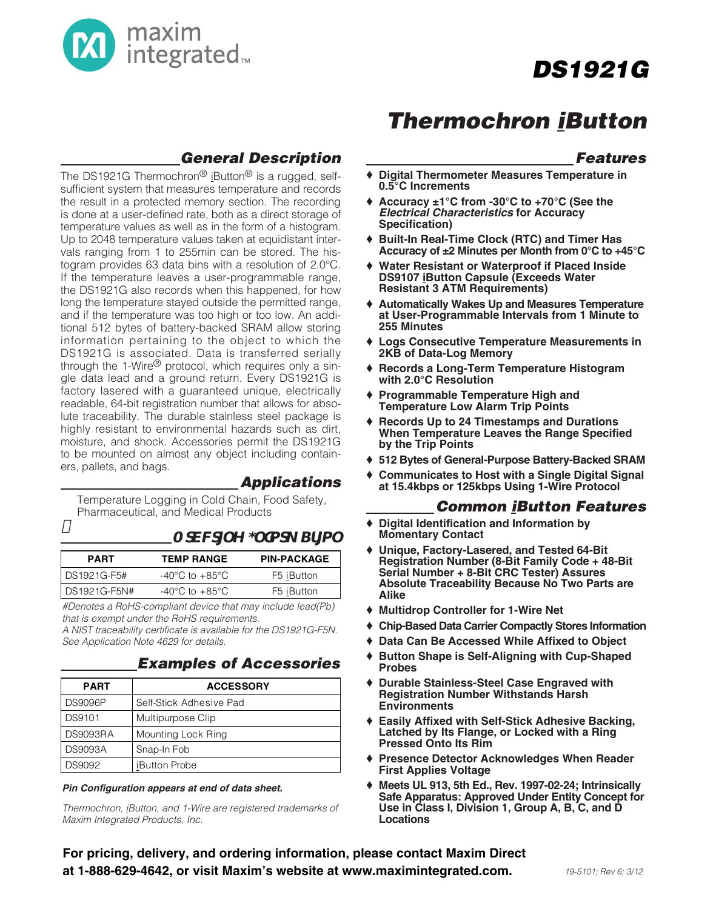

#### **General Description**

The DS1921G Thermochron<sup>®</sup> iButton<sup>®</sup> is a rugged, selfsufficient system that measures temperature and records the result in a protected memory section. The recording is done at a user-defined rate, both as a direct storage of temperature values as well as in the form of a histogram. Up to 2048 temperature values taken at equidistant intervals ranging from 1 to 255min can be stored. The histogram provides 63 data bins with a resolution of 2.0°C. If the temperature leaves a user-programmable range, the DS1921G also records when this happened, for how long the temperature stayed outside the permitted range, and if the temperature was too high or too low. An additional 512 bytes of battery-backed SRAM allow storing information pertaining to the object to which the DS1921G is associated. Data is transferred serially through the 1-Wire<sup>®</sup> protocol, which requires only a single data lead and a ground return. Every DS1921G is factory lasered with a guaranteed unique, electrically readable, 64-bit registration number that allows for absolute traceability. The durable stainless steel package is highly resistant to environmental hazards such as dirt, moisture, and shock. Accessories permit the DS1921G to be mounted on almost any object including containers, pallets, and bags.

#### **Applications**

Temperature Logging in Cold Chain, Food Safety, Pharmaceutical, and Medical Products

#### Ad**Mu[Y;`Xad\_Sf[a`**

| <b>PART</b>    | <b>TEMP RANGE</b>                  | <b>PIN-PACKAGE</b> |
|----------------|------------------------------------|--------------------|
| l DS1921G-F5#  | $-40^{\circ}$ C to $+85^{\circ}$ C | F5 iButton         |
| l DS1921G-F5N# | $-40^{\circ}$ C to $+85^{\circ}$ C | F5 iButton         |

#Denotes a RoHS-compliant device that may include lead(Pb) that is exempt under the RoHS requirements.

A NIST traceability certificate is available for the DS1921G-F5N. See Application Note 4629 for details.

#### **Examples of Accessories**

| <b>PART</b>    | <b>ACCESSORY</b>        |
|----------------|-------------------------|
| <b>DS9096P</b> | Self-Stick Adhesive Pad |
| <b>DS9101</b>  | Multipurpose Clip       |
| DS9093RA       | Mounting Lock Ring      |
| <b>DS9093A</b> | Snap-In Fob             |
| DS9092         | iButton Probe           |

#### Pin Configuration appears at end of data sheet.

Thermochron, *iButton, and 1-Wire are registered trademarks of* Maxim Integrated Products, Inc.

### **Thermochron iButton**

#### **Features**

- ♦ **Digital Thermometer Measures Temperature in 0.5°C Increments**
- ♦ **Accuracy ±1°C from -30°C to +70°C (See the Electrical Characteristics for Accuracy Specification)**
- ♦ **Built-In Real-Time Clock (RTC) and Timer Has Accuracy of ±2 Minutes per Month from 0°C to +45°C**
- ♦ **Water Resistant or Waterproof if Placed Inside DS9107 iButton Capsule (Exceeds Water Resistant 3 ATM Requirements)**
- ♦ **Automatically Wakes Up and Measures Temperature at User-Programmable Intervals from 1 Minute to 255 Minutes**
- ♦ **Logs Consecutive Temperature Measurements in 2KB of Data-Log Memory**
- ♦ **Records a Long-Term Temperature Histogram with 2.0°C Resolution**
- ♦ **Programmable Temperature High and Temperature Low Alarm Trip Points**
- ♦ **Records Up to 24 Timestamps and Durations When Temperature Leaves the Range Specified by the Trip Points**
- ♦ **512 Bytes of General-Purpose Battery-Backed SRAM**
- ♦ **Communicates to Host with a Single Digital Signal at 15.4kbps or 125kbps Using 1-Wire Protocol**

#### **Common iButton Features**

- **Digital Identification and Information by Momentary Contact**
- ♦ **Unique, Factory-Lasered, and Tested 64-Bit Registration Number (8-Bit Family Code + 48-Bit Serial Number + 8-Bit CRC Tester) Assures Absolute Traceability Because No Two Parts are Alike**
- ♦ **Multidrop Controller for 1-Wire Net**
- ♦ **Chip-Based Data Carrier Compactly Stores Information**
- ♦ **Data Can Be Accessed While Affixed to Object**
- ♦ **Button Shape is Self-Aligning with Cup-Shaped Probes**
- ♦ **Durable Stainless-Steel Case Engraved with Registration Number Withstands Harsh Environments**
- ♦ **Easily Affixed with Self-Stick Adhesive Backing, Latched by Its Flange, or Locked with a Ring Pressed Onto Its Rim**
- ♦ **Presence Detector Acknowledges When Reader First Applies Voltage**
- ♦ **Meets UL 913, 5th Ed., Rev. 1997-02-24; Intrinsically Safe Apparatus: Approved Under Entity Concept for Use in Class I, Division 1, Group A, B, C, and D Locations**

For pricing, delivery, and ordering information, please contact Maxim Direct at 1-888-629-4642, or visit Maxim's website at www.maximintegrated.com.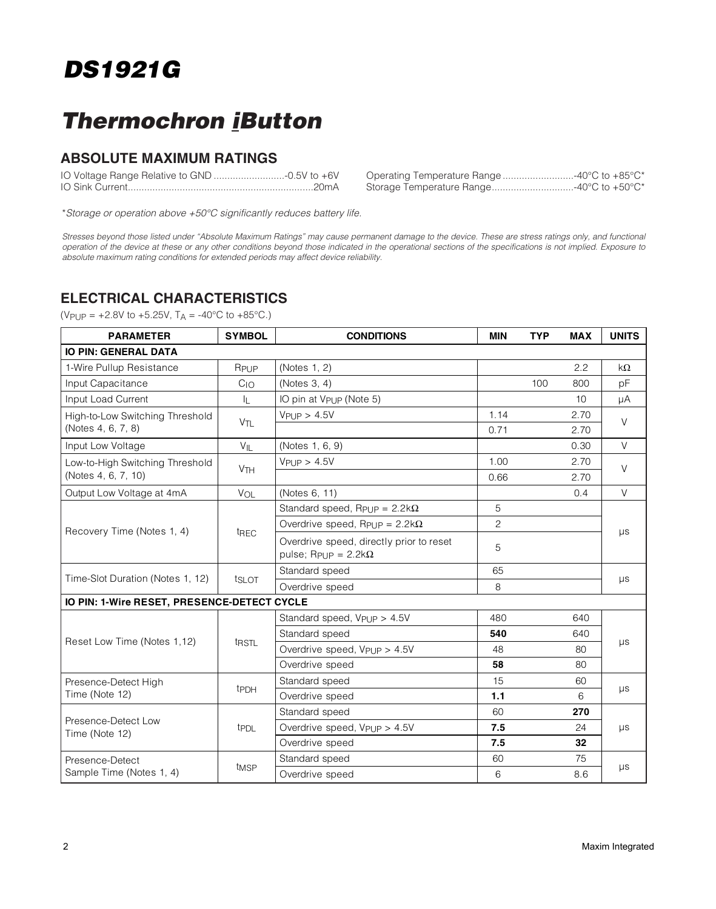### **Thermochron iButton**

#### **ABSOLUTE MAXIMUM RATINGS**

| Operating Temperature Range 40°C to +85°C* |
|--------------------------------------------|
| Storage Temperature Range40°C to +50°C*    |

\*Storage or operation above +50°C significantly reduces battery life.

Stresses beyond those listed under "Absolute Maximum Ratings" may cause permanent damage to the device. These are stress ratings only, and functional operation of the device at these or any other conditions beyond those indicated in the operational sections of the specifications is not implied. Exposure to absolute maximum rating conditions for extended periods may affect device reliability.

#### **ELECTRICAL CHARACTERISTICS**

 $(V_{\text{PUP}} = +2.8V \text{ to } +5.25V, T_A = -40^{\circ}C \text{ to } +85^{\circ}C.$ 

| <b>PARAMETER</b>                            | <b>SYMBOL</b>         | <b>CONDITIONS</b>                                                                      | <b>MIN</b> | <b>TYP</b> | <b>MAX</b>      | <b>UNITS</b> |  |  |  |
|---------------------------------------------|-----------------------|----------------------------------------------------------------------------------------|------------|------------|-----------------|--------------|--|--|--|
| <b>IO PIN: GENERAL DATA</b>                 |                       |                                                                                        |            |            |                 |              |  |  |  |
| 1-Wire Pullup Resistance                    | RPUP                  | (Notes 1, 2)                                                                           |            |            | 2.2             | kΩ           |  |  |  |
| Input Capacitance                           | $C_{1O}$              | (Notes 3, 4)                                                                           |            | 100        | 800             | pF           |  |  |  |
| Input Load Current                          | IL.                   | IO pin at V <sub>PUP</sub> (Note 5)                                                    |            |            | 10 <sup>1</sup> | μA           |  |  |  |
| High-to-Low Switching Threshold             | V <sub>TL</sub>       | VPIJP > 4.5V                                                                           | 1.14       |            | 2.70            | $\vee$       |  |  |  |
| (Notes 4, 6, 7, 8)                          |                       |                                                                                        | 0.71       |            | 2.70            |              |  |  |  |
| Input Low Voltage                           | $V_{\parallel}$       | (Notes 1, 6, 9)                                                                        |            |            | 0.30            | $\vee$       |  |  |  |
| Low-to-High Switching Threshold             | <b>V<sub>TH</sub></b> | $V$ PUP > 4.5V                                                                         | 1.00       |            | 2.70            | $\vee$       |  |  |  |
| (Notes 4, 6, 7, 10)                         |                       |                                                                                        | 0.66       |            | 2.70            |              |  |  |  |
| Output Low Voltage at 4mA                   | VOL                   | (Notes 6, 11)                                                                          |            |            | 0.4             | $\vee$       |  |  |  |
|                                             |                       | Standard speed, $R_{PIIP} = 2.2k\Omega$                                                | 5          |            |                 |              |  |  |  |
| Recovery Time (Notes 1, 4)                  | t <sub>REC</sub>      | Overdrive speed, $R_{\text{PIIP}} = 2.2 \text{k}\Omega$                                | 2          |            |                 |              |  |  |  |
|                                             |                       | Overdrive speed, directly prior to reset<br>pulse; R <sub>PUP</sub> = $2.2$ k $\Omega$ | 5          |            |                 | $\mu s$      |  |  |  |
|                                             |                       | Standard speed                                                                         | 65         |            |                 |              |  |  |  |
| Time-Slot Duration (Notes 1, 12)            | tslot                 | Overdrive speed                                                                        | 8          |            |                 | μs           |  |  |  |
| IO PIN: 1-Wire RESET, PRESENCE-DETECT CYCLE |                       |                                                                                        |            |            |                 |              |  |  |  |
|                                             |                       | Standard speed, V <sub>PUP</sub> > 4.5V                                                | 480        |            | 640             |              |  |  |  |
|                                             |                       | Standard speed                                                                         | 540        |            | 640             |              |  |  |  |
| Reset Low Time (Notes 1,12)                 | t <sub>RSTL</sub>     | Overdrive speed, $V_{\text{Pl}}$ $p > 4.5V$                                            | 48         |            | 80              | μs           |  |  |  |
|                                             |                       | Overdrive speed                                                                        | 58         |            | 80              |              |  |  |  |
| Presence-Detect High                        |                       | Standard speed                                                                         | 15         |            | 60              |              |  |  |  |
| Time (Note 12)                              | t <sub>PDH</sub>      | Overdrive speed                                                                        | 1.1        |            | 6               | μs           |  |  |  |
|                                             |                       | Standard speed                                                                         | 60         |            | 270             |              |  |  |  |
| Presence-Detect Low<br>Time (Note 12)       | t <sub>PDL</sub>      | Overdrive speed, V <sub>PUP</sub> > 4.5V<br>7.5                                        |            | 24         | $\mu s$         |              |  |  |  |
|                                             |                       | Overdrive speed                                                                        | 7.5        |            | 32              |              |  |  |  |
| Presence-Detect                             |                       | Standard speed                                                                         | 60         |            | 75              |              |  |  |  |
| Sample Time (Notes 1, 4)                    | t <sub>MSP</sub>      | Overdrive speed                                                                        | 6          |            | 8.6             | $\mu s$      |  |  |  |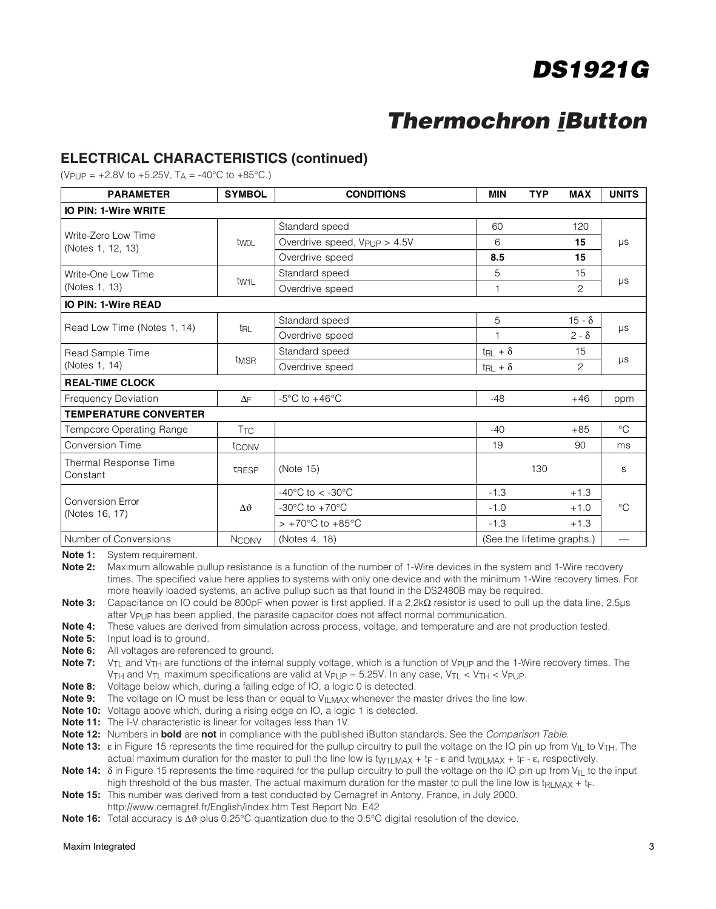### **Thermochron iButton**

#### **ELECTRICAL CHARACTERISTICS (continued)**

 $(V_{\text{PI}})$  = +2.8V to +5.25V, T<sub>A</sub> = -40°C to +85°C.)

| <b>PARAMETER</b>                         | <b>SYMBOL</b>      | <b>CONDITIONS</b>                                        |                          | <b>TYP</b><br><b>MAX</b>   | <b>UNITS</b> |  |
|------------------------------------------|--------------------|----------------------------------------------------------|--------------------------|----------------------------|--------------|--|
| <b>IO PIN: 1-Wire WRITE</b>              |                    |                                                          |                          |                            |              |  |
|                                          |                    | Standard speed                                           | 60                       | 120                        |              |  |
| Write-Zero Low Time<br>(Notes 1, 12, 13) | twol               | Overdrive speed, V <sub>PUP</sub> > 4.5V                 | 6                        | 15                         | $\mu s$      |  |
|                                          |                    | Overdrive speed                                          | 8.5                      | 15                         |              |  |
| Write-One Low Time                       |                    | Standard speed                                           | 5                        | 15                         |              |  |
| (Notes 1, 13)                            | t <sub>W1L</sub>   | Overdrive speed                                          |                          | 2                          | μs           |  |
| <b>IO PIN: 1-Wire READ</b>               |                    |                                                          |                          |                            |              |  |
|                                          |                    | Standard speed                                           | 5                        | $15 - \delta$              |              |  |
| Read Low Time (Notes 1, 14)              | trl                | Overdrive speed                                          |                          | $2 - \delta$               | μs           |  |
| Read Sample Time                         |                    | Standard speed                                           | $t_{\text{RL}} + \delta$ | 15                         |              |  |
| (Notes 1, 14)                            | t <sub>MSR</sub>   | Overdrive speed                                          | $t_{\text{RL}} + \delta$ | 2                          | $\mu s$      |  |
| <b>REAL-TIME CLOCK</b>                   |                    |                                                          |                          |                            |              |  |
| <b>Frequency Deviation</b>               | $\Delta \vdash$    | $-5^{\circ}$ C to $+46^{\circ}$ C                        | $-48$                    | $+46$                      | ppm          |  |
| <b>TEMPERATURE CONVERTER</b>             |                    |                                                          |                          |                            |              |  |
| Tempcore Operating Range                 | <b>TTC</b>         |                                                          | $-40$                    | $+85$                      | $^{\circ}C$  |  |
| <b>Conversion Time</b>                   | tconv              |                                                          | 19                       | 90                         | ms           |  |
| Thermal Response Time<br>Constant        | TRESP              | (Note 15)                                                |                          | 130                        | S            |  |
|                                          |                    | -40 $^{\circ}$ C to < -30 $^{\circ}$ C                   | $-1.3$                   | $+1.3$                     |              |  |
| Conversion Error<br>(Notes 16, 17)       | $\Delta \vartheta$ | $-30^{\circ}$ C to $+70^{\circ}$ C                       | $-1.0$                   | $+1.0$                     | $^{\circ}C$  |  |
|                                          |                    | $> +70^{\circ}$ C to $+85^{\circ}$ C<br>$-1.3$<br>$+1.3$ |                          |                            |              |  |
| Number of Conversions                    | <b>NCONV</b>       | (Notes 4, 18)                                            |                          | (See the lifetime graphs.) |              |  |

**Note 1:** System requirement.

**Note 2:** Maximum allowable pullup resistance is a function of the number of 1-Wire devices in the system and 1-Wire recovery times. The specified value here applies to systems with only one device and with the minimum 1-Wire recovery times. For more heavily loaded systems, an active pullup such as that found in the DS2480B may be required.

**Note 3:** Capacitance on IO could be 800pF when power is first applied. If a 2.2kΩ resistor is used to pull up the data line, 2.5µs after V<sub>PUP</sub> has been applied, the parasite capacitor does not affect normal communication.

- **Note 4:** These values are derived from simulation across process, voltage, and temperature and are not production tested.
- **Note 5:** Input load is to ground.
- **Note 6:** All voltages are referenced to ground.
- Note 7: V<sub>TL</sub> and V<sub>TH</sub> are functions of the internal supply voltage, which is a function of V<sub>PUP</sub> and the 1-Wire recovery times. The V<sub>TH</sub> and V<sub>TL</sub> maximum specifications are valid at V<sub>PUP</sub> = 5.25V. In any case, V<sub>TL</sub> < V<sub>TH</sub> < V<sub>PUP</sub>.
- **Note 8:** Voltage below which, during a falling edge of IO, a logic 0 is detected.
- **Note 9:** The voltage on IO must be less than or equal to V<sub>ILMAX</sub> whenever the master drives the line low.
- **Note 10:** Voltage above which, during a rising edge on IO, a logic 1 is detected.
- **Note 11:** The I-V characteristic is linear for voltages less than 1V.
- **Note 12:** Numbers in **bold** are **not** in compliance with the published iButton standards. See the Comparison Table.

Note 13: ε in Figure 15 represents the time required for the pullup circuitry to pull the voltage on the IO pin up from V<sub>IL</sub> to V<sub>TH</sub>. The actual maximum duration for the master to pull the line low is t<sub>W1LMAX</sub> + t<sub>F</sub> -  $\varepsilon$  and t<sub>W0LMAX</sub> + t<sub>F</sub> -  $\varepsilon$ , respectively.

**Note 14:** δ in Figure 15 represents the time required for the pullup circuitry to pull the voltage on the IO pin up from V<sub>IL</sub> to the input high threshold of the bus master. The actual maximum duration for the master to pull the line low is t<sub>RLMAX</sub> + t<sub>F</sub>.

**Note 15:** This number was derived from a test conducted by Cemagref in Antony, France, in July 2000. http://www.cemagref.fr/English/index.htm Test Report No. E42

**Note 16:** Total accuracy is Δθ plus 0.25°C quantization due to the 0.5°C digital resolution of the device.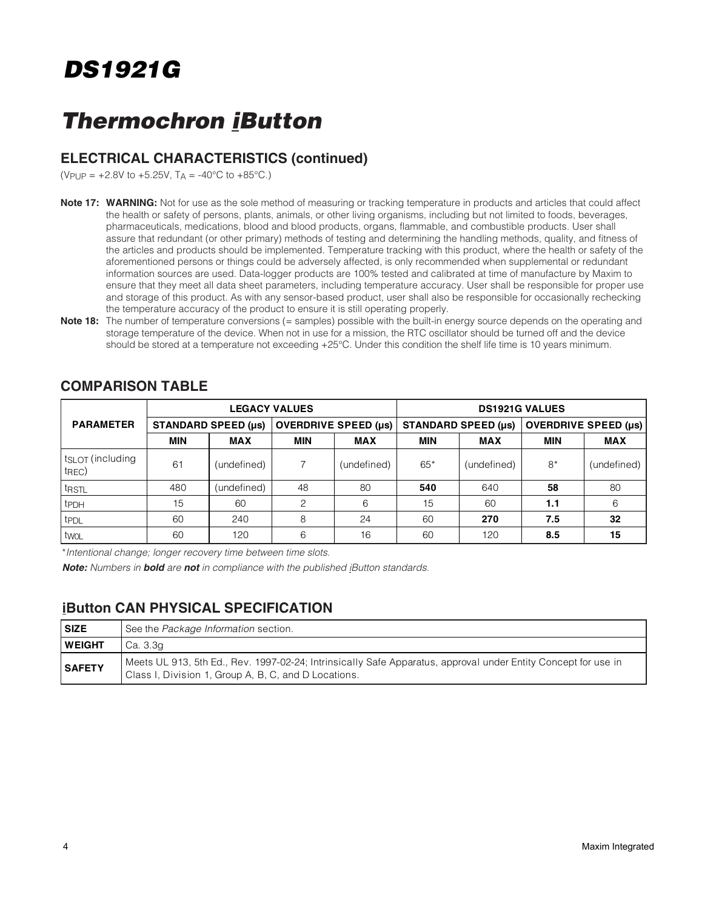### **Thermochron iButton**

#### **ELECTRICAL CHARACTERISTICS (continued)**

 $(V_{\text{PI}})$  = +2.8V to +5.25V, T<sub>A</sub> = -40°C to +85°C.)

- **Note 17: WARNING:** Not for use as the sole method of measuring or tracking temperature in products and articles that could affect the health or safety of persons, plants, animals, or other living organisms, including but not limited to foods, beverages, pharmaceuticals, medications, blood and blood products, organs, flammable, and combustible products. User shall assure that redundant (or other primary) methods of testing and determining the handling methods, quality, and fitness of the articles and products should be implemented. Temperature tracking with this product, where the health or safety of the aforementioned persons or things could be adversely affected, is only recommended when supplemental or redundant information sources are used. Data-logger products are 100% tested and calibrated at time of manufacture by Maxim to ensure that they meet all data sheet parameters, including temperature accuracy. User shall be responsible for proper use and storage of this product. As with any sensor-based product, user shall also be responsible for occasionally rechecking the temperature accuracy of the product to ensure it is still operating properly.
- **Note 18:** The number of temperature conversions (= samples) possible with the built-in energy source depends on the operating and storage temperature of the device. When not in use for a mission, the RTC oscillator should be turned off and the device should be stored at a temperature not exceeding +25°C. Under this condition the shelf life time is 10 years minimum.

|                                                    |            |                            | <b>LEGACY VALUES</b>        |             | <b>DS1921G VALUES</b>      |             |                             |             |  |
|----------------------------------------------------|------------|----------------------------|-----------------------------|-------------|----------------------------|-------------|-----------------------------|-------------|--|
| <b>PARAMETER</b>                                   |            | <b>STANDARD SPEED (µs)</b> | <b>OVERDRIVE SPEED (µs)</b> |             | <b>STANDARD SPEED (µs)</b> |             | <b>OVERDRIVE SPEED (µs)</b> |             |  |
|                                                    | <b>MIN</b> | <b>MAX</b>                 | <b>MIN</b>                  | <b>MAX</b>  | <b>MIN</b>                 | <b>MAX</b>  | <b>MIN</b>                  | <b>MAX</b>  |  |
| t <sub>SLOT</sub> (including<br>t <sub>REC</sub> ) | 61         | (undefined)                |                             | (undefined) | $65*$                      | (undefined) | $8*$                        | (undefined) |  |
| trstL                                              | 480        | (undefined)                | 48                          | 80          | 540                        | 640         | 58                          | 80          |  |
| t <sub>PDH</sub>                                   | 15         | 60                         | 2                           | 6           | 15                         | 60          | 1.1                         | 6           |  |
| t <sub>PDL</sub>                                   | 60         | 240                        | 8                           | 24          | 60                         | 270         | 7.5                         | 32          |  |
| l twol                                             | 60         | 120                        | 6                           | 16          | 60                         | 120         | 8.5                         | 15          |  |

#### **COMPARISON TABLE**

\*Intentional change; longer recovery time between time slots.

Note: Numbers in bold are not in compliance with the published iButton standards.

#### **iButton CAN PHYSICAL SPECIFICATION**

| SIZE          | See the Package Information section.                                                                                                                                   |
|---------------|------------------------------------------------------------------------------------------------------------------------------------------------------------------------|
| <b>WEIGHT</b> | Ca. 3.3g                                                                                                                                                               |
| <b>SAFETY</b> | Meets UL 913, 5th Ed., Rev. 1997-02-24; Intrinsically Safe Apparatus, approval under Entity Concept for use in<br>Class I, Division 1, Group A, B, C, and D Locations. |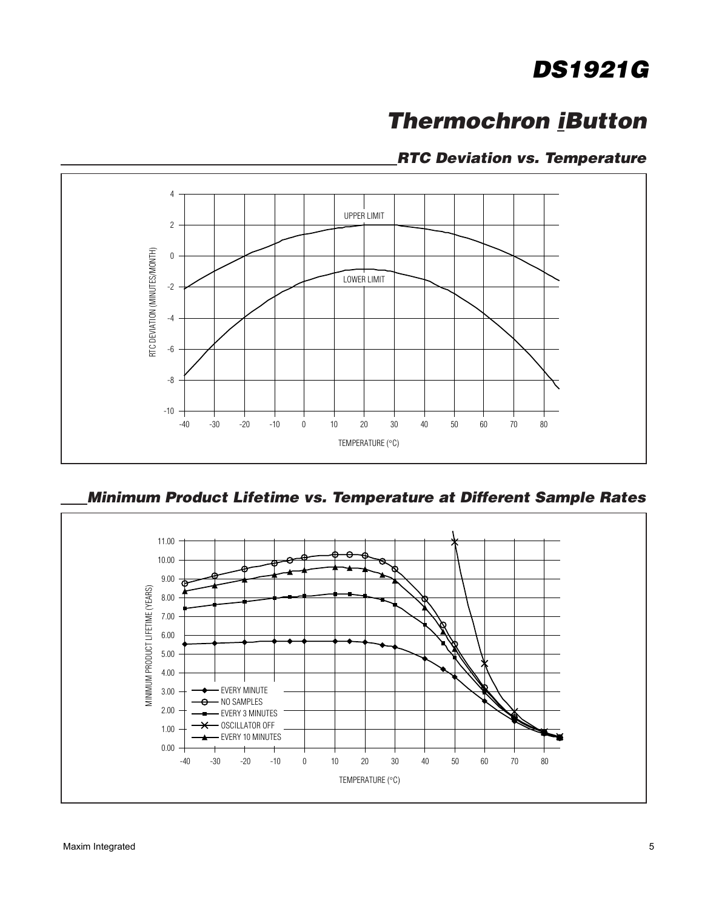### **Thermochron iButton**

#### **RTC Deviation vs. Temperature**



**Minimum Product Lifetime vs. Temperature at Different Sample Rates**

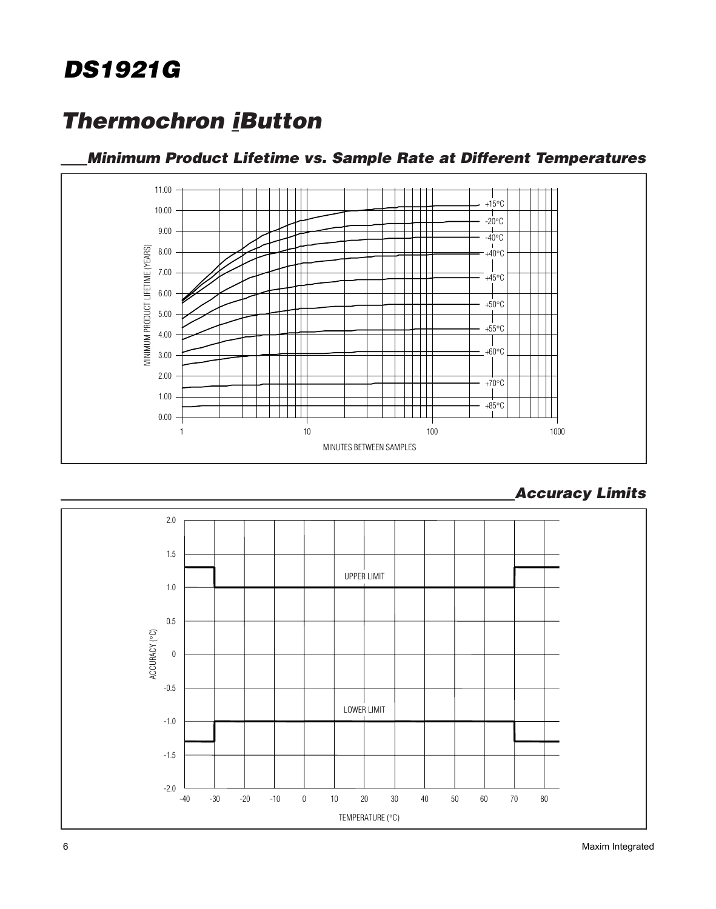### **Thermochron iButton**

#### **Minimum Product Lifetime vs. Sample Rate at Different Temperatures**



**Accuracy Limits**

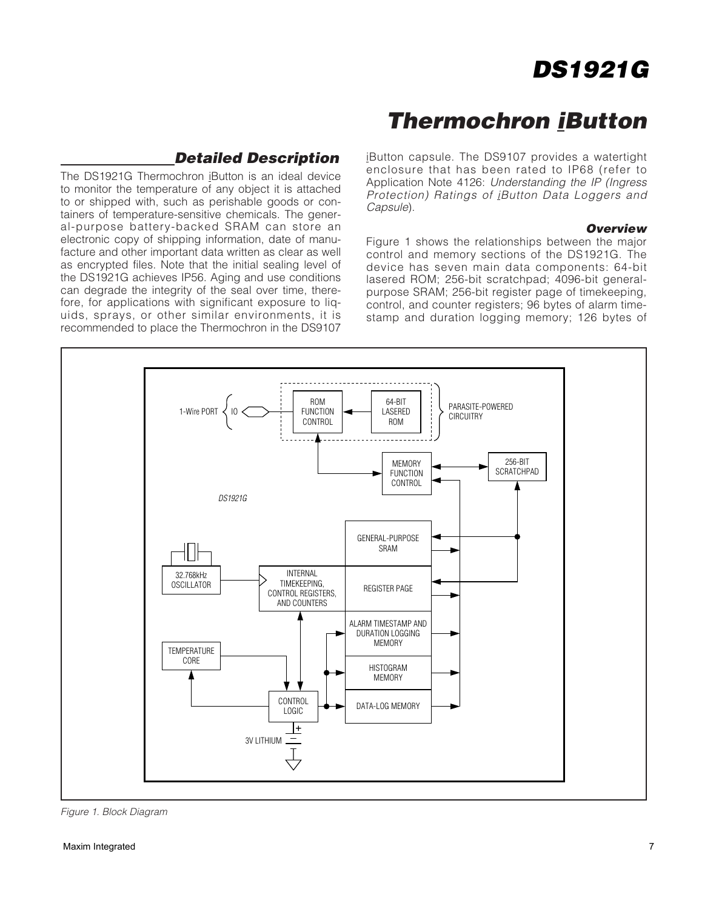### **Thermochron iButton**

#### **Detailed Description**

The DS1921G Thermochron iButton is an ideal device to monitor the temperature of any object it is attached to or shipped with, such as perishable goods or containers of temperature-sensitive chemicals. The general-purpose battery-backed SRAM can store an electronic copy of shipping information, date of manufacture and other important data written as clear as well as encrypted files. Note that the initial sealing level of the DS1921G achieves IP56. Aging and use conditions can degrade the integrity of the seal over time, therefore, for applications with significant exposure to liguids, sprays, or other similar environments, it is recommended to place the Thermochron in the DS9107

iButton capsule. The DS9107 provides a watertight enclosure that has been rated to IP68 (refer to Application Note 4126: Understanding the IP (Ingress Protection) Ratings of iButton Data Loggers and Capsule).

#### **Overview**

Figure 1 shows the relationships between the major control and memory sections of the DS1921G. The device has seven main data components: 64-bit lasered ROM; 256-bit scratchpad; 4096-bit generalpurpose SRAM; 256-bit register page of timekeeping, control, and counter registers; 96 bytes of alarm timestamp and duration logging memory; 126 bytes of



Figure 1. Block Diagram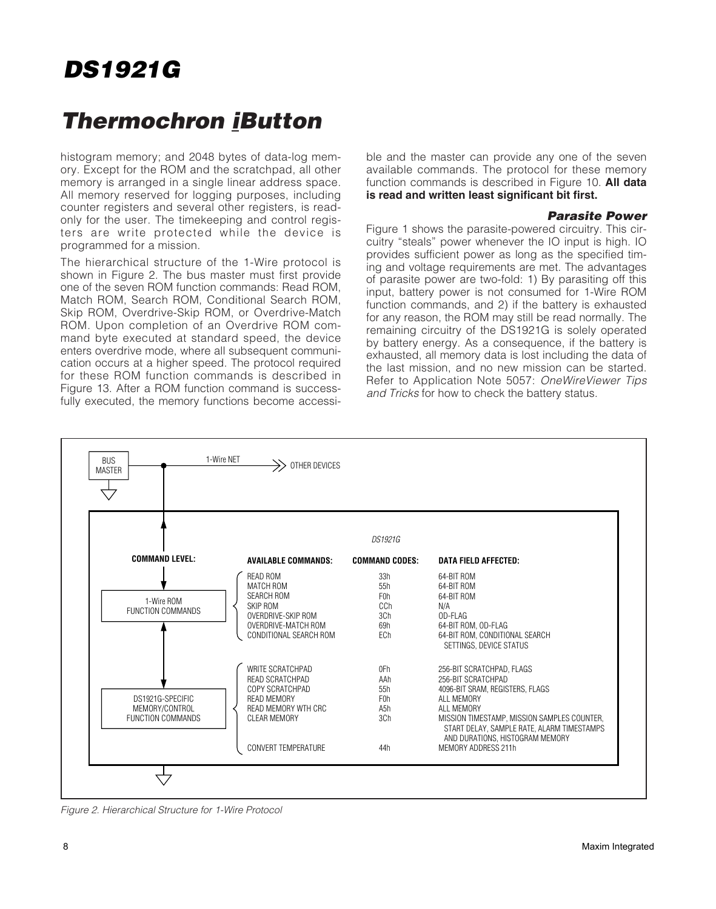### **Thermochron iButton**

histogram memory; and 2048 bytes of data-log memory. Except for the ROM and the scratchpad, all other memory is arranged in a single linear address space. All memory reserved for logging purposes, including counter registers and several other registers, is readonly for the user. The timekeeping and control registers are write protected while the device is programmed for a mission.

The hierarchical structure of the 1-Wire protocol is shown in Figure 2. The bus master must first provide one of the seven ROM function commands: Read ROM, Match ROM, Search ROM, Conditional Search ROM, Skip ROM, Overdrive-Skip ROM, or Overdrive-Match ROM. Upon completion of an Overdrive ROM command byte executed at standard speed, the device enters overdrive mode, where all subsequent communication occurs at a higher speed. The protocol required for these ROM function commands is described in Figure 13. After a ROM function command is successfully executed, the memory functions become accessible and the master can provide any one of the seven available commands. The protocol for these memory function commands is described in Figure 10. **All data is read and written least significant bit first.**

#### **Parasite Power**

Figure 1 shows the parasite-powered circuitry. This circuitry "steals" power whenever the IO input is high. IO provides sufficient power as long as the specified timing and voltage requirements are met. The advantages of parasite power are two-fold: 1) By parasiting off this input, battery power is not consumed for 1-Wire ROM function commands, and 2) if the battery is exhausted for any reason, the ROM may still be read normally. The remaining circuitry of the DS1921G is solely operated by battery energy. As a consequence, if the battery is exhausted, all memory data is lost including the data of the last mission, and no new mission can be started. Refer to Application Note 5057: OneWireViewer Tips and Tricks for how to check the battery status.



Figure 2. Hierarchical Structure for 1-Wire Protocol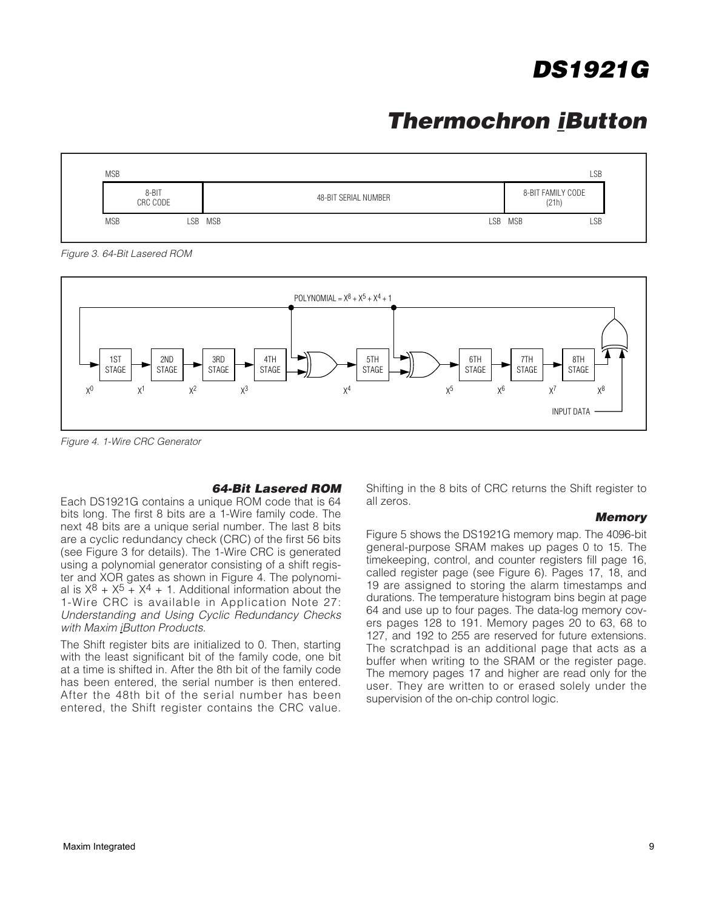### **Thermochron iButton**



Figure 3. 64-Bit Lasered ROM



Figure 4. 1-Wire CRC Generator

#### **64-Bit Lasered ROM**

Each DS1921G contains a unique ROM code that is 64 bits long. The first 8 bits are a 1-Wire family code. The next 48 bits are a unique serial number. The last 8 bits are a cyclic redundancy check (CRC) of the first 56 bits (see Figure 3 for details). The 1-Wire CRC is generated using a polynomial generator consisting of a shift register and XOR gates as shown in Figure 4. The polynomial is  $X^8 + X^5 + X^4 + 1$ . Additional information about the 1-Wire CRC is available in Application Note 27: Understanding and Using Cyclic Redundancy Checks with Maxim iButton Products.

The Shift register bits are initialized to 0. Then, starting with the least significant bit of the family code, one bit at a time is shifted in. After the 8th bit of the family code has been entered, the serial number is then entered. After the 48th bit of the serial number has been entered, the Shift register contains the CRC value.

Shifting in the 8 bits of CRC returns the Shift register to all zeros.

#### **Memory**

Figure 5 shows the DS1921G memory map. The 4096-bit general-purpose SRAM makes up pages 0 to 15. The timekeeping, control, and counter registers fill page 16, called register page (see Figure 6). Pages 17, 18, and 19 are assigned to storing the alarm timestamps and durations. The temperature histogram bins begin at page 64 and use up to four pages. The data-log memory covers pages 128 to 191. Memory pages 20 to 63, 68 to 127, and 192 to 255 are reserved for future extensions. The scratchpad is an additional page that acts as a buffer when writing to the SRAM or the register page. The memory pages 17 and higher are read only for the user. They are written to or erased solely under the supervision of the on-chip control logic.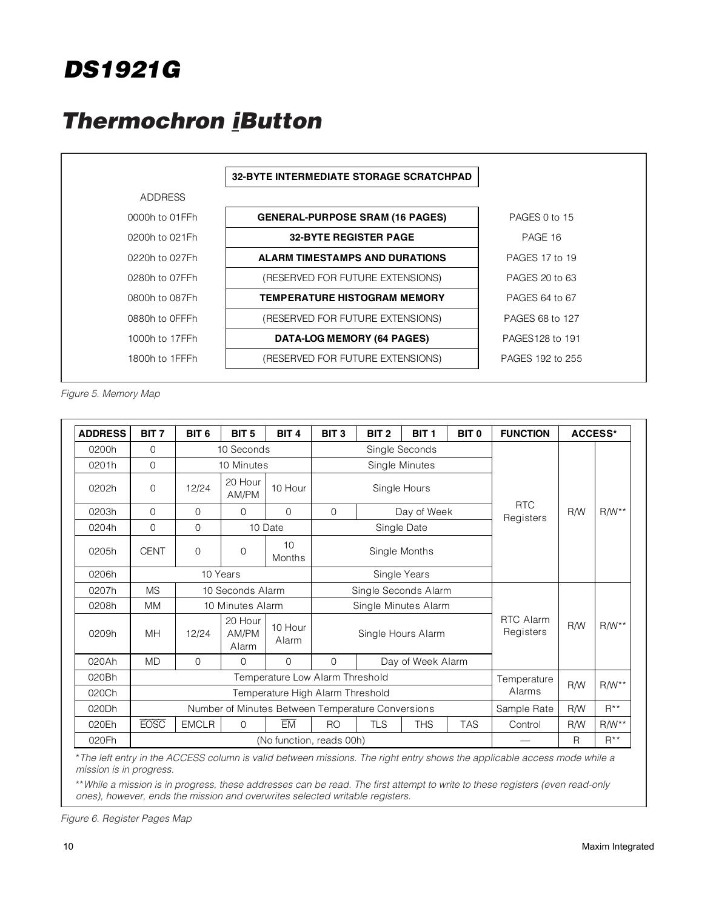### **Thermochron iButton**



Figure 5. Memory Map

| <b>ADDRESS</b> | BIT <sub>7</sub> | BIT <sub>6</sub> | BIT <sub>5</sub>          | BIT <sub>4</sub>                | BIT <sub>3</sub>                                  | BIT <sub>2</sub>                       | BIT <sub>1</sub>     | BIT <sub>0</sub> | <b>FUNCTION</b>               |          | <b>ACCESS*</b> |
|----------------|------------------|------------------|---------------------------|---------------------------------|---------------------------------------------------|----------------------------------------|----------------------|------------------|-------------------------------|----------|----------------|
| 0200h          | $\Omega$         |                  | 10 Seconds                |                                 |                                                   |                                        | Single Seconds       |                  |                               |          |                |
| 0201h          | $\mathbf{O}$     |                  | 10 Minutes                |                                 |                                                   |                                        | Single Minutes       |                  |                               |          |                |
| 0202h          | $\Omega$         | 12/24            | 20 Hour<br>AM/PM          | 10 Hour                         |                                                   |                                        | Single Hours         |                  |                               |          |                |
| 0203h          | $\mathbf{O}$     | $\Omega$         | $\Omega$                  | $\Omega$                        | $\mathbf 0$                                       |                                        | Day of Week          |                  | <b>RTC</b><br>Registers       | R/W      | $R/W**$        |
| 0204h          | $\Omega$         | $\Omega$         |                           | 10 Date                         |                                                   |                                        | Single Date          |                  |                               |          |                |
| 0205h          | <b>CENT</b>      | $\Omega$         | $\Omega$                  | 10<br>Months                    | Single Months                                     |                                        |                      |                  |                               |          |                |
| 0206h          |                  |                  | 10 Years                  |                                 |                                                   |                                        | Single Years         |                  |                               |          |                |
| 0207h          | <b>MS</b>        |                  | 10 Seconds Alarm          |                                 | Single Seconds Alarm                              |                                        |                      |                  |                               |          |                |
| 0208h          | <b>MM</b>        |                  | 10 Minutes Alarm          |                                 |                                                   |                                        | Single Minutes Alarm |                  |                               |          |                |
| 0209h          | <b>MH</b>        | 12/24            | 20 Hour<br>AM/PM<br>Alarm | 10 Hour<br>Alarm                |                                                   |                                        | Single Hours Alarm   |                  | <b>RTC Alarm</b><br>Registers | R/W      | $R/W**$        |
| 020Ah          | <b>MD</b>        | $\Omega$         | $\Omega$                  | $\Omega$                        | $\Omega$                                          |                                        | Day of Week Alarm    |                  |                               |          |                |
| 020Bh          |                  |                  |                           | Temperature Low Alarm Threshold |                                                   |                                        |                      |                  | Temperature                   |          |                |
| 020Ch          |                  |                  |                           |                                 | Temperature High Alarm Threshold                  |                                        |                      |                  | Alarms                        | R/W      | $R/W**$        |
| 020Dh          |                  |                  |                           |                                 | Number of Minutes Between Temperature Conversions |                                        |                      | Sample Rate      | <b>R/W</b>                    | $R^{**}$ |                |
| 020Eh          | <b>EOSC</b>      | <b>EMCLR</b>     | $\Omega$                  | ЕM                              | <b>RO</b>                                         | <b>TAS</b><br><b>TLS</b><br><b>THS</b> |                      | Control          | R/W                           | $R/W**$  |                |
| 020Fh          |                  |                  |                           | (No function, reads 00h)        |                                                   |                                        |                      |                  |                               | R        | $R^{**}$       |

\*The left entry in the ACCESS column is valid between missions. The right entry shows the applicable access mode while a mission is in progress.

\*\*While a mission is in progress, these addresses can be read. The first attempt to write to these registers (even read-only ones), however, ends the mission and overwrites selected writable registers.

Figure 6. Register Pages Map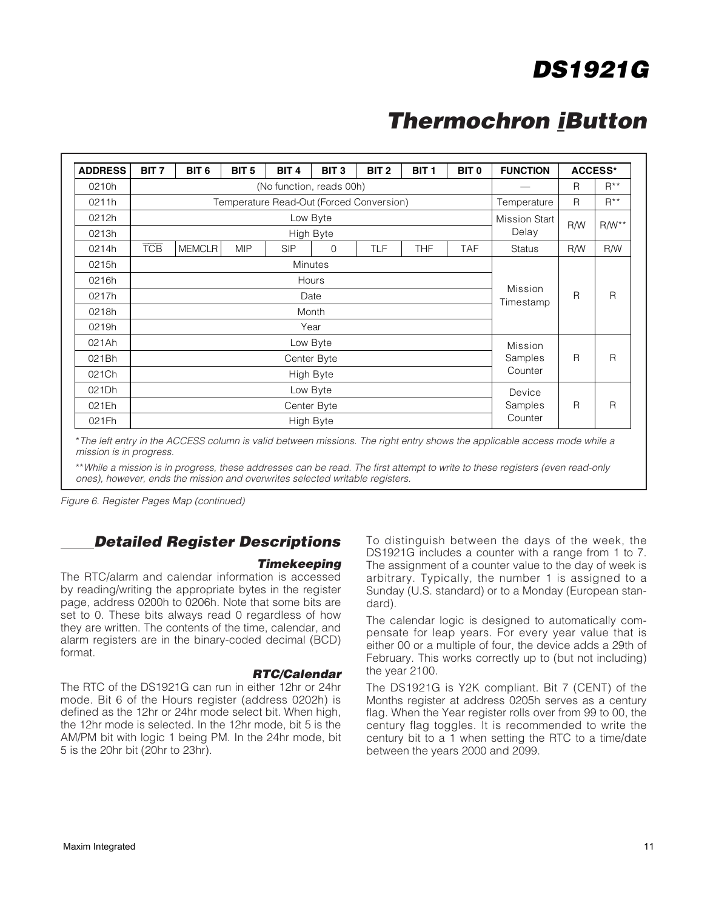### **Thermochron iButton**

| <b>ADDRESS</b> | BIT <sub>7</sub><br>BIT <sub>6</sub><br>BIT <sub>5</sub><br>BIT <sub>4</sub><br>BIT <sub>3</sub><br>BIT <sub>2</sub><br>BIT <sub>1</sub><br>BIT <sub>0</sub> |               |            |            |                |                                          |            |            | <b>FUNCTION</b>      |                | <b>ACCESS*</b> |
|----------------|--------------------------------------------------------------------------------------------------------------------------------------------------------------|---------------|------------|------------|----------------|------------------------------------------|------------|------------|----------------------|----------------|----------------|
| 0210h          |                                                                                                                                                              |               |            | R          | $R^{**}$       |                                          |            |            |                      |                |                |
| 0211h          |                                                                                                                                                              |               |            |            |                | Temperature Read-Out (Forced Conversion) |            |            | Temperature          | $\overline{R}$ | $R^{**}$       |
| 0212h          |                                                                                                                                                              |               |            |            | Low Byte       |                                          |            |            | <b>Mission Start</b> | R/W            | $RM**$         |
| 0213h          |                                                                                                                                                              |               |            |            | High Byte      |                                          |            |            | Delay                |                |                |
| 0214h          | <b>TCB</b>                                                                                                                                                   | <b>MEMCLR</b> | <b>MIP</b> | <b>SIP</b> | $\Omega$       | <b>TLF</b>                               | <b>THF</b> | <b>TAF</b> | <b>Status</b>        | R/W            | R/W            |
| 0215h          |                                                                                                                                                              |               |            |            | <b>Minutes</b> |                                          |            |            |                      |                | $\mathsf{R}$   |
| 0216h          |                                                                                                                                                              |               |            |            | Hours          |                                          |            |            |                      | R              |                |
| 0217h          |                                                                                                                                                              |               |            |            | Date           |                                          |            |            | Mission<br>Timestamp |                |                |
| 0218h          |                                                                                                                                                              |               |            |            | Month          |                                          |            |            |                      |                |                |
| 0219h          |                                                                                                                                                              |               |            |            | Year           |                                          |            |            |                      |                |                |
| 021Ah          |                                                                                                                                                              |               |            |            | Low Byte       |                                          |            |            | Mission              |                |                |
| 021Bh          |                                                                                                                                                              |               |            |            | Center Byte    |                                          |            |            | Samples              | R              | $\mathsf{R}$   |
| 021Ch          |                                                                                                                                                              | High Byte     |            |            |                |                                          |            |            | Counter              |                |                |
| 021Dh          |                                                                                                                                                              | Low Byte      |            |            |                |                                          |            |            | Device               |                |                |
| 021Eh          |                                                                                                                                                              | Center Byte   |            |            |                |                                          |            |            | Samples              | R              | $\mathsf{R}$   |
| 021Fh          |                                                                                                                                                              |               |            |            | High Byte      |                                          |            |            | Counter              |                |                |

\*The left entry in the ACCESS column is valid between missions. The right entry shows the applicable access mode while a mission is in progress.

\*\*While a mission is in progress, these addresses can be read. The first attempt to write to these registers (even read-only ones), however, ends the mission and overwrites selected writable registers.

Figure 6. Register Pages Map (continued)

#### **Detailed Register Descriptions**

#### **Timekeeping**

The RTC/alarm and calendar information is accessed by reading/writing the appropriate bytes in the register page, address 0200h to 0206h. Note that some bits are set to 0. These bits always read 0 regardless of how they are written. The contents of the time, calendar, and alarm registers are in the binary-coded decimal (BCD) format.

#### **RTC/Calendar**

The RTC of the DS1921G can run in either 12hr or 24hr mode. Bit 6 of the Hours register (address 0202h) is defined as the 12hr or 24hr mode select bit. When high, the 12hr mode is selected. In the 12hr mode, bit 5 is the AM/PM bit with logic 1 being PM. In the 24hr mode, bit 5 is the 20hr bit (20hr to 23hr).

To distinguish between the days of the week, the DS1921G includes a counter with a range from 1 to 7. The assignment of a counter value to the day of week is arbitrary. Typically, the number 1 is assigned to a Sunday (U.S. standard) or to a Monday (European standard).

The calendar logic is designed to automatically compensate for leap years. For every year value that is either 00 or a multiple of four, the device adds a 29th of February. This works correctly up to (but not including) the year 2100.

The DS1921G is Y2K compliant. Bit 7 (CENT) of the Months register at address 0205h serves as a century flag. When the Year register rolls over from 99 to 00, the century flag toggles. It is recommended to write the century bit to a 1 when setting the RTC to a time/date between the years 2000 and 2099.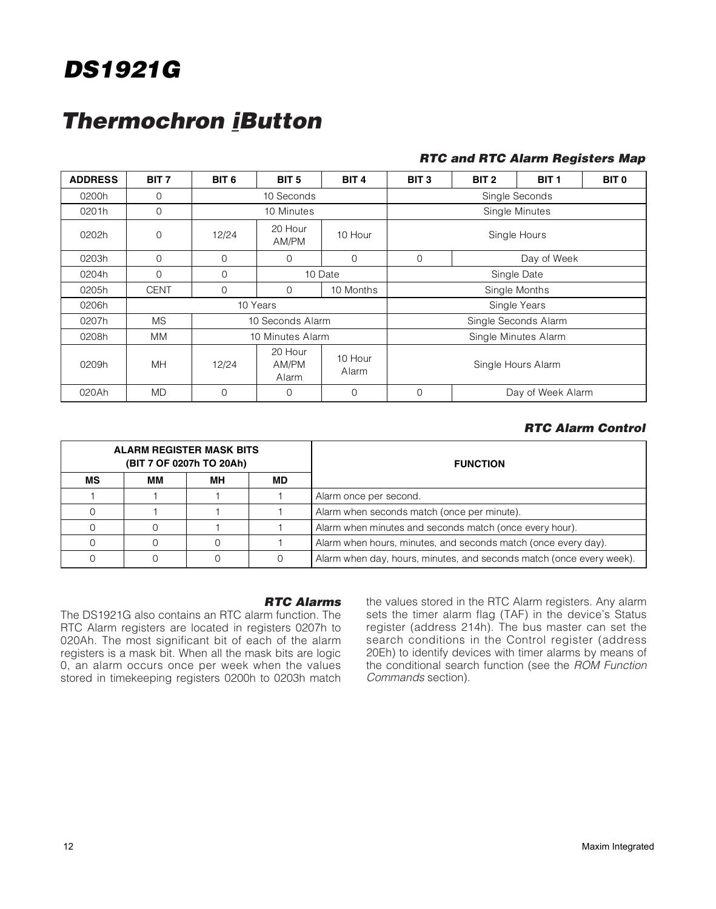### **Thermochron iButton**

#### **RTC and RTC Alarm Registers Map**

| <b>ADDRESS</b> | BIT <sub>7</sub> | BIT <sub>6</sub> | BIT <sub>5</sub>          | BIT <sub>4</sub> | BIT <sub>3</sub>              | BIT <sub>2</sub> | BIT <sub>1</sub>     | BIT <sub>0</sub> |
|----------------|------------------|------------------|---------------------------|------------------|-------------------------------|------------------|----------------------|------------------|
| 0200h          | $\mathbf{0}$     |                  | 10 Seconds                |                  | Single Seconds                |                  |                      |                  |
| 0201h          | $\mathbf{0}$     |                  | 10 Minutes                |                  |                               |                  | Single Minutes       |                  |
| 0202h          | $\mathbf 0$      | 12/24            | 20 Hour<br>AM/PM          | 10 Hour          | Single Hours                  |                  |                      |                  |
| 0203h          | $\Omega$         | $\Omega$         | $\Omega$                  | $\Omega$         | $\mathbf 0$                   |                  | Day of Week          |                  |
| 0204h          | 0                | $\Omega$         |                           | 10 Date          | Single Date                   |                  |                      |                  |
| 0205h          | <b>CENT</b>      | $\Omega$         | $\Omega$                  | 10 Months        |                               |                  | Single Months        |                  |
| 0206h          |                  |                  | 10 Years                  |                  |                               |                  | Single Years         |                  |
| 0207h          | <b>MS</b>        |                  | 10 Seconds Alarm          |                  |                               |                  | Single Seconds Alarm |                  |
| 0208h          | MM.              |                  | 10 Minutes Alarm          |                  |                               |                  | Single Minutes Alarm |                  |
| 0209h          | MH               | 12/24            | 20 Hour<br>AM/PM<br>Alarm | 10 Hour<br>Alarm | Single Hours Alarm            |                  |                      |                  |
| 020Ah          | <b>MD</b>        | $\Omega$         | 0                         | $\Omega$         | $\Omega$<br>Day of Week Alarm |                  |                      |                  |

#### **RTC Alarm Control**

|    | ALARM REGISTER MASK BITS | (BIT 7 OF 0207h TO 20Ah) |     | <b>FUNCTION</b>                                                      |  |  |  |  |
|----|--------------------------|--------------------------|-----|----------------------------------------------------------------------|--|--|--|--|
| МS | ΜМ                       | MН                       | MD. |                                                                      |  |  |  |  |
|    |                          |                          |     | Alarm once per second.                                               |  |  |  |  |
|    |                          |                          |     | Alarm when seconds match (once per minute).                          |  |  |  |  |
|    |                          |                          |     | Alarm when minutes and seconds match (once every hour).              |  |  |  |  |
|    |                          |                          |     | Alarm when hours, minutes, and seconds match (once every day).       |  |  |  |  |
|    |                          |                          |     | Alarm when day, hours, minutes, and seconds match (once every week). |  |  |  |  |

#### **RTC Alarms**

The DS1921G also contains an RTC alarm function. The RTC Alarm registers are located in registers 0207h to 020Ah. The most significant bit of each of the alarm registers is a mask bit. When all the mask bits are logic 0, an alarm occurs once per week when the values stored in timekeeping registers 0200h to 0203h match the values stored in the RTC Alarm registers. Any alarm sets the timer alarm flag (TAF) in the device's Status register (address 214h). The bus master can set the search conditions in the Control register (address 20Eh) to identify devices with timer alarms by means of the conditional search function (see the ROM Function Commands section).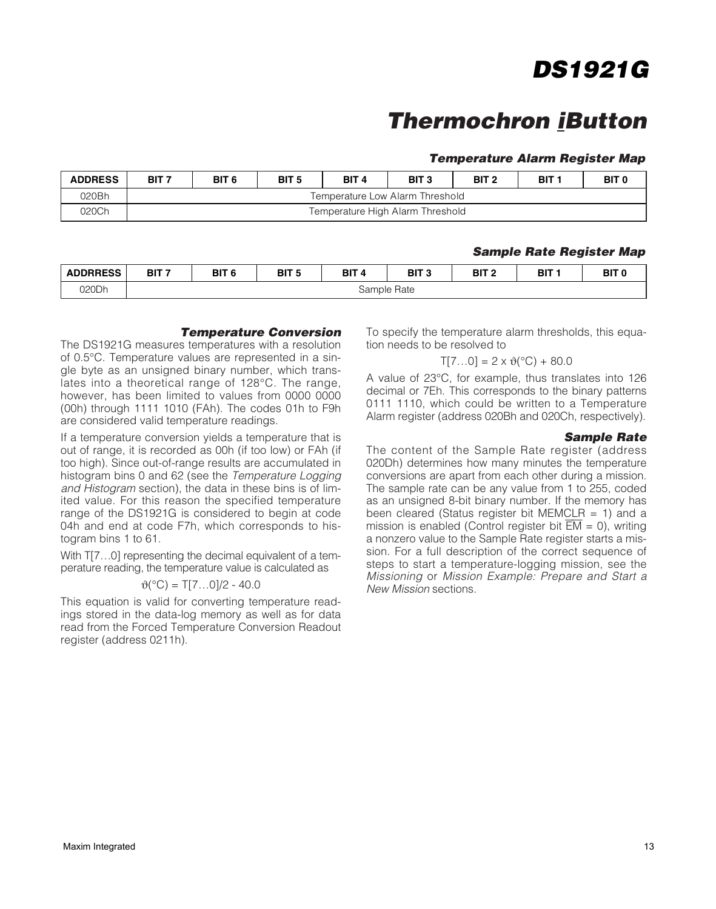### **Thermochron iButton**

#### **Temperature Alarm Register Map**

| <b>ADDRESS</b> | BIT <sub>7</sub> | BIT <sub>6</sub>                | BIT <sub>5</sub> | BIT <sub>4</sub> | BIT <sub>3</sub>                 | BIT <sub>2</sub> | BIT : | BIT <sub>0</sub> |  |  |
|----------------|------------------|---------------------------------|------------------|------------------|----------------------------------|------------------|-------|------------------|--|--|
| 020Bh          |                  | Temperature Low Alarm Threshold |                  |                  |                                  |                  |       |                  |  |  |
| 020Ch          |                  |                                 |                  |                  | Temperature High Alarm Threshold |                  |       |                  |  |  |

#### **Sample Rate Register Map**

| <b>ADDRRESS</b><br>. טכבותות | BIT <sub>7</sub> | BIT <sub>f</sub> | BIT <sub>5</sub> | ⊿ דום<br>., | BIT <sub>3</sub> | BIT <sub>2</sub> | BIT | BIT ( |
|------------------------------|------------------|------------------|------------------|-------------|------------------|------------------|-----|-------|
| 020Dh                        |                  |                  |                  | Sample      | <b>Hate</b>      |                  |     |       |

#### **Temperature Conversion**

The DS1921G measures temperatures with a resolution of 0.5°C. Temperature values are represented in a single byte as an unsigned binary number, which translates into a theoretical range of 128°C. The range, however, has been limited to values from 0000 0000 (00h) through 1111 1010 (FAh). The codes 01h to F9h are considered valid temperature readings.

If a temperature conversion yields a temperature that is out of range, it is recorded as 00h (if too low) or FAh (if too high). Since out-of-range results are accumulated in histogram bins 0 and 62 (see the Temperature Logging and Histogram section), the data in these bins is of limited value. For this reason the specified temperature range of the DS1921G is considered to begin at code 04h and end at code F7h, which corresponds to histogram bins 1 to 61.

With T[7...0] representing the decimal equivalent of a temperature reading, the temperature value is calculated as

#### $\vartheta$ (°C) = T[7...0]/2 - 40.0

This equation is valid for converting temperature readings stored in the data-log memory as well as for data read from the Forced Temperature Conversion Readout register (address 0211h).

To specify the temperature alarm thresholds, this equation needs to be resolved to

#### $T[7...0] = 2 \times \vartheta$  (°C) + 80.0

A value of 23°C, for example, thus translates into 126 decimal or 7Eh. This corresponds to the binary patterns 0111 1110, which could be written to a Temperature Alarm register (address 020Bh and 020Ch, respectively).

#### **Sample Rate**

The content of the Sample Rate register (address 020Dh) determines how many minutes the temperature conversions are apart from each other during a mission. The sample rate can be any value from 1 to 255, coded as an unsigned 8-bit binary number. If the memory has been cleared (Status register bit MEMCLR  $= 1$ ) and a mission is enabled (Control register bit  $\overline{EM} = 0$ ), writing a nonzero value to the Sample Rate register starts a mission. For a full description of the correct sequence of steps to start a temperature-logging mission, see the Missioning or Mission Example: Prepare and Start a New Mission sections.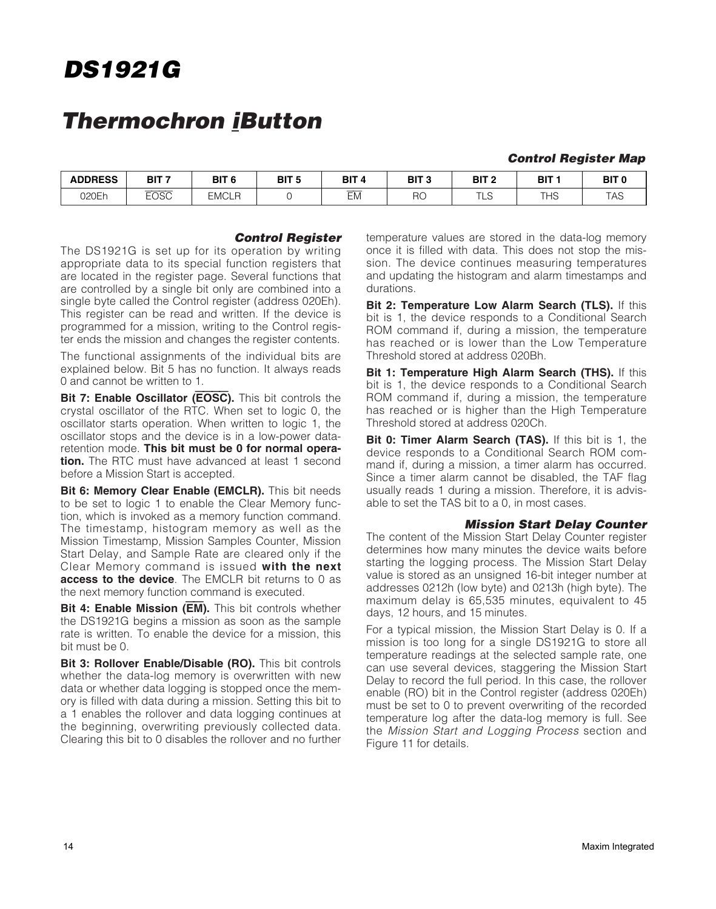### **Thermochron iButton**

#### **Control Register Map**

| <b>ADDRESS</b> | דים<br>ы    | BIT <sub>6</sub>               | BIT <sub>5</sub> | BIT 4<br>$\sqrt{ }$                  | DIT O<br>ынз | <b>BIT</b>                     | DIT.<br>DII                                   | BIT (        |
|----------------|-------------|--------------------------------|------------------|--------------------------------------|--------------|--------------------------------|-----------------------------------------------|--------------|
| 020Eh          | <b>EOSC</b> | <b>EMCLF</b><br>$\overline{ }$ |                  | $\overline{\phantom{a}}$<br>--<br>ЕM | RC<br>$\sim$ | $\overline{ }$<br>∟∪<br>$\sim$ | $\mathbf{r}$<br>$\overline{16}$<br>−<br>טו וו | $ -$<br>. רש |

#### **Control Register**

The DS1921G is set up for its operation by writing appropriate data to its special function registers that are located in the register page. Several functions that are controlled by a single bit only are combined into a single byte called the Control register (address 020Eh). This register can be read and written. If the device is programmed for a mission, writing to the Control register ends the mission and changes the register contents.

The functional assignments of the individual bits are explained below. Bit 5 has no function. It always reads 0 and cannot be written to 1.

**Bit 7: Enable Oscillator (EOSC).** This bit controls the crystal oscillator of the RTC. When set to logic 0, the oscillator starts operation. When written to logic 1, the oscillator stops and the device is in a low-power dataretention mode. **This bit must be 0 for normal operation.** The RTC must have advanced at least 1 second before a Mission Start is accepted.

**Bit 6: Memory Clear Enable (EMCLR).** This bit needs to be set to logic 1 to enable the Clear Memory function, which is invoked as a memory function command. The timestamp, histogram memory as well as the Mission Timestamp, Mission Samples Counter, Mission Start Delay, and Sample Rate are cleared only if the Clear Memory command is issued **with the next access to the device**. The EMCLR bit returns to 0 as the next memory function command is executed.

**Bit 4: Enable Mission (EM).** This bit controls whether the DS1921G begins a mission as soon as the sample rate is written. To enable the device for a mission, this bit must be 0.

**Bit 3: Rollover Enable/Disable (RO).** This bit controls whether the data-log memory is overwritten with new data or whether data logging is stopped once the memory is filled with data during a mission. Setting this bit to a 1 enables the rollover and data logging continues at the beginning, overwriting previously collected data. Clearing this bit to 0 disables the rollover and no further

temperature values are stored in the data-log memory once it is filled with data. This does not stop the mission. The device continues measuring temperatures and updating the histogram and alarm timestamps and durations.

**Bit 2: Temperature Low Alarm Search (TLS).** If this bit is 1, the device responds to a Conditional Search ROM command if, during a mission, the temperature has reached or is lower than the Low Temperature Threshold stored at address 020Bh.

**Bit 1: Temperature High Alarm Search (THS).** If this bit is 1, the device responds to a Conditional Search ROM command if, during a mission, the temperature has reached or is higher than the High Temperature Threshold stored at address 020Ch.

**Bit 0: Timer Alarm Search (TAS).** If this bit is 1, the device responds to a Conditional Search ROM command if, during a mission, a timer alarm has occurred. Since a timer alarm cannot be disabled, the TAF flag usually reads 1 during a mission. Therefore, it is advisable to set the TAS bit to a 0, in most cases.

#### **Mission Start Delay Counter**

The content of the Mission Start Delay Counter register determines how many minutes the device waits before starting the logging process. The Mission Start Delay value is stored as an unsigned 16-bit integer number at addresses 0212h (low byte) and 0213h (high byte). The maximum delay is 65,535 minutes, equivalent to 45 days, 12 hours, and 15 minutes.

For a typical mission, the Mission Start Delay is 0. If a mission is too long for a single DS1921G to store all temperature readings at the selected sample rate, one can use several devices, staggering the Mission Start Delay to record the full period. In this case, the rollover enable (RO) bit in the Control register (address 020Eh) must be set to 0 to prevent overwriting of the recorded temperature log after the data-log memory is full. See the Mission Start and Logging Process section and Figure 11 for details.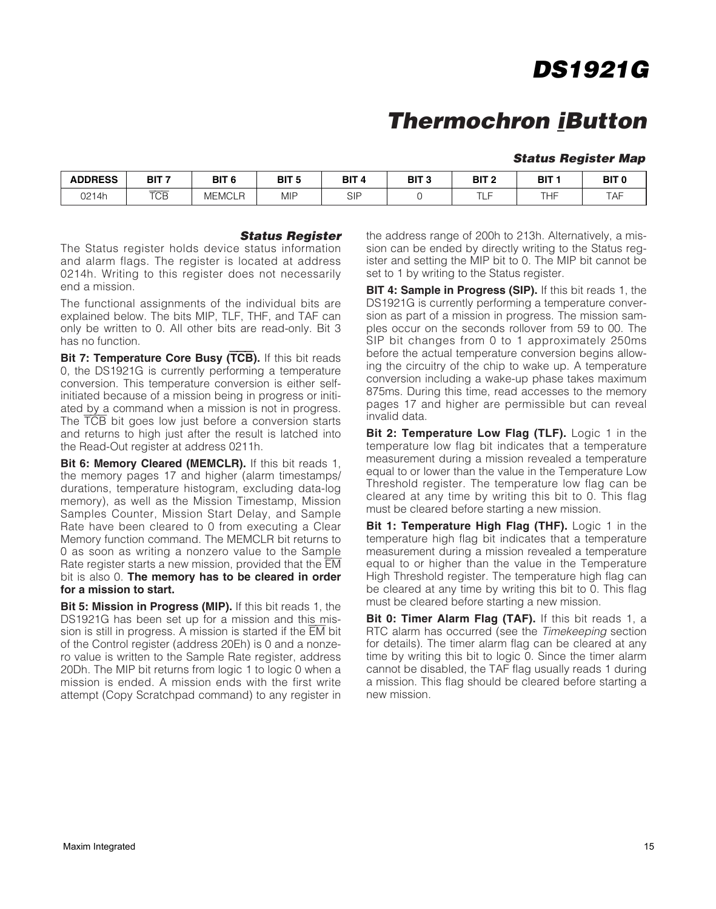### **Thermochron iButton**

#### **Status Register Map**

| <b>ADDRESS</b> | BIT <sub>7</sub> | DIT C<br>DII             | BIT <sub>5</sub> | <b>BIT</b><br>4 | BIT 3 | BIT <sub>2</sub> | BIT | BIT <sub>C</sub> |
|----------------|------------------|--------------------------|------------------|-----------------|-------|------------------|-----|------------------|
| <u>ገ214h</u>   | <b>TCB</b>       | ≟MCLP<br>ME <sup>N</sup> | <b>MIP</b>       | SIF             |       | $-1$             | THF | TAF              |

#### **Status Register**

The Status register holds device status information and alarm flags. The register is located at address 0214h. Writing to this register does not necessarily end a mission.

The functional assignments of the individual bits are explained below. The bits MIP, TLF, THF, and TAF can only be written to 0. All other bits are read-only. Bit 3 has no function.

**Bit 7: Temperature Core Busy (TCB).** If this bit reads 0, the DS1921G is currently performing a temperature conversion. This temperature conversion is either selfinitiated because of a mission being in progress or initiated by a command when a mission is not in progress. The TCB bit goes low just before a conversion starts and returns to high just after the result is latched into the Read-Out register at address 0211h.

**Bit 6: Memory Cleared (MEMCLR).** If this bit reads 1, the memory pages 17 and higher (alarm timestamps/ durations, temperature histogram, excluding data-log memory), as well as the Mission Timestamp, Mission Samples Counter, Mission Start Delay, and Sample Rate have been cleared to 0 from executing a Clear Memory function command. The MEMCLR bit returns to 0 as soon as writing a nonzero value to the Sample Rate register starts a new mission, provided that the EM bit is also 0. **The memory has to be cleared in order for a mission to start.**

**Bit 5: Mission in Progress (MIP).** If this bit reads 1, the DS1921G has been set up for a mission and this mission is still in progress. A mission is started if the EM bit of the Control register (address 20Eh) is 0 and a nonzero value is written to the Sample Rate register, address 20Dh. The MIP bit returns from logic 1 to logic 0 when a mission is ended. A mission ends with the first write attempt (Copy Scratchpad command) to any register in the address range of 200h to 213h. Alternatively, a mission can be ended by directly writing to the Status register and setting the MIP bit to 0. The MIP bit cannot be set to 1 by writing to the Status register.

**BIT 4: Sample in Progress (SIP).** If this bit reads 1, the DS1921G is currently performing a temperature conversion as part of a mission in progress. The mission samples occur on the seconds rollover from 59 to 00. The SIP bit changes from 0 to 1 approximately 250ms before the actual temperature conversion begins allowing the circuitry of the chip to wake up. A temperature conversion including a wake-up phase takes maximum 875ms. During this time, read accesses to the memory pages 17 and higher are permissible but can reveal invalid data.

**Bit 2: Temperature Low Flag (TLF).** Logic 1 in the temperature low flag bit indicates that a temperature measurement during a mission revealed a temperature equal to or lower than the value in the Temperature Low Threshold register. The temperature low flag can be cleared at any time by writing this bit to 0. This flag must be cleared before starting a new mission.

**Bit 1: Temperature High Flag (THF).** Logic 1 in the temperature high flag bit indicates that a temperature measurement during a mission revealed a temperature equal to or higher than the value in the Temperature High Threshold register. The temperature high flag can be cleared at any time by writing this bit to 0. This flag must be cleared before starting a new mission.

**Bit 0: Timer Alarm Flag (TAF).** If this bit reads 1, a RTC alarm has occurred (see the Timekeeping section for details). The timer alarm flag can be cleared at any time by writing this bit to logic 0. Since the timer alarm cannot be disabled, the TAF flag usually reads 1 during a mission. This flag should be cleared before starting a new mission.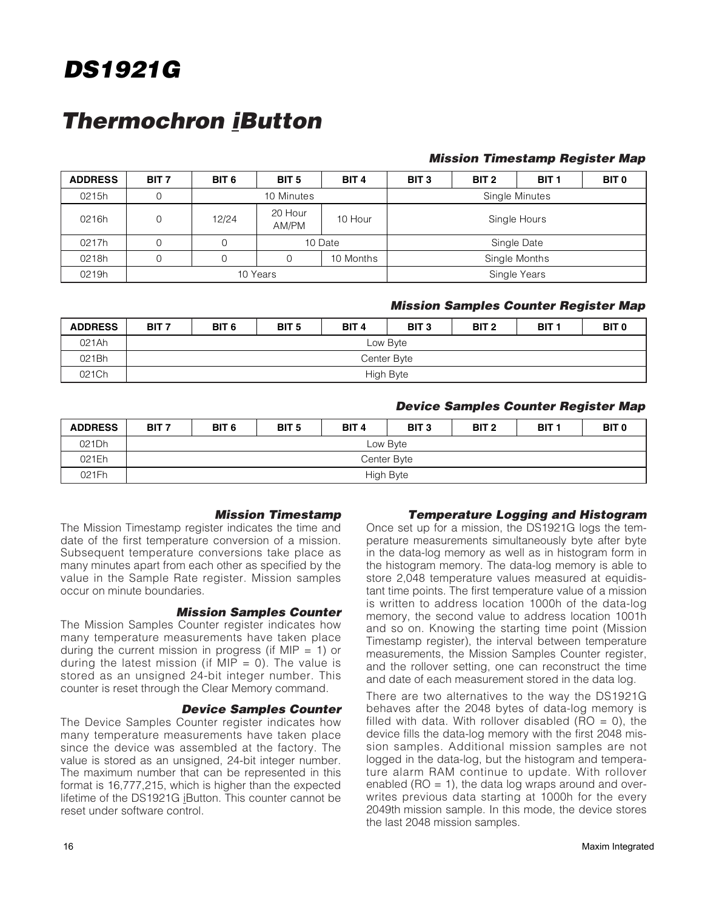### **Thermochron iButton**

#### **Mission Timestamp Register Map**

| <b>ADDRESS</b> | BIT <sub>7</sub> | BIT <sub>6</sub> | BIT 5                      | BIT <sub>4</sub> | BIT <sub>3</sub> | BIT <sub>2</sub> | BIT <sub>1</sub> | <b>BIT 0</b> |
|----------------|------------------|------------------|----------------------------|------------------|------------------|------------------|------------------|--------------|
| 0215h          | 0                |                  | 10 Minutes                 |                  |                  |                  | Single Minutes   |              |
| 0216h          | 0                | 12/24            | 20 Hour<br>AM/PM           | 10 Hour          | Single Hours     |                  |                  |              |
| 0217h          | 0                |                  |                            | 10 Date          |                  |                  | Single Date      |              |
| 0218h          | 0                |                  | 10 Months<br>Single Months |                  |                  |                  |                  |              |
| 0219h          |                  |                  | 10 Years                   |                  | Single Years     |                  |                  |              |

#### **Mission Samples Counter Register Map**

| <b>ADDRESS</b> | BIT <sub>7</sub> | BIT <sub>6</sub> | BIT <sub>5</sub> | BIT <sub>4</sub> | BIT <sub>3</sub> | BIT <sub>2</sub> | BIT <sub>1</sub> | BIT <sub>0</sub> |
|----------------|------------------|------------------|------------------|------------------|------------------|------------------|------------------|------------------|
| 021Ah          |                  |                  |                  |                  | Low Byte         |                  |                  |                  |
| 021Bh          |                  |                  |                  |                  | Center Byte      |                  |                  |                  |
| 021Ch          |                  |                  | High Byte        |                  |                  |                  |                  |                  |

#### **Device Samples Counter Register Map**

| <b>ADDRESS</b> | BIT <sub>7</sub> | BIT <sub>6</sub> | BIT <sub>5</sub> | BIT <sub>4</sub> | BIT <sub>3</sub> | BIT <sub>2</sub> | BIT <sub>1</sub> | BIT <sub>0</sub> |
|----------------|------------------|------------------|------------------|------------------|------------------|------------------|------------------|------------------|
| 021Dh          |                  |                  |                  |                  | Low Byte         |                  |                  |                  |
| 021Eh          |                  |                  |                  | Center Byte      |                  |                  |                  |                  |
| 021Fh          |                  |                  |                  |                  | High Byte        |                  |                  |                  |

#### **Mission Timestamp**

The Mission Timestamp register indicates the time and date of the first temperature conversion of a mission. Subsequent temperature conversions take place as many minutes apart from each other as specified by the value in the Sample Rate register. Mission samples occur on minute boundaries.

#### **Mission Samples Counter**

The Mission Samples Counter register indicates how many temperature measurements have taken place during the current mission in progress (if MIP  $= 1$ ) or during the latest mission (if MIP  $= 0$ ). The value is stored as an unsigned 24-bit integer number. This counter is reset through the Clear Memory command.

#### **Device Samples Counter**

The Device Samples Counter register indicates how many temperature measurements have taken place since the device was assembled at the factory. The value is stored as an unsigned, 24-bit integer number. The maximum number that can be represented in this format is 16,777,215, which is higher than the expected lifetime of the DS1921G iButton. This counter cannot be reset under software control.

#### **Temperature Logging and Histogram**

Once set up for a mission, the DS1921G logs the temperature measurements simultaneously byte after byte in the data-log memory as well as in histogram form in the histogram memory. The data-log memory is able to store 2,048 temperature values measured at equidistant time points. The first temperature value of a mission is written to address location 1000h of the data-log memory, the second value to address location 1001h and so on. Knowing the starting time point (Mission Timestamp register), the interval between temperature measurements, the Mission Samples Counter register, and the rollover setting, one can reconstruct the time and date of each measurement stored in the data log.

There are two alternatives to the way the DS1921G behaves after the 2048 bytes of data-log memory is filled with data. With rollover disabled ( $RO = 0$ ), the device fills the data-log memory with the first 2048 mission samples. Additional mission samples are not logged in the data-log, but the histogram and temperature alarm RAM continue to update. With rollover enabled ( $RO = 1$ ), the data log wraps around and overwrites previous data starting at 1000h for the every 2049th mission sample. In this mode, the device stores the last 2048 mission samples.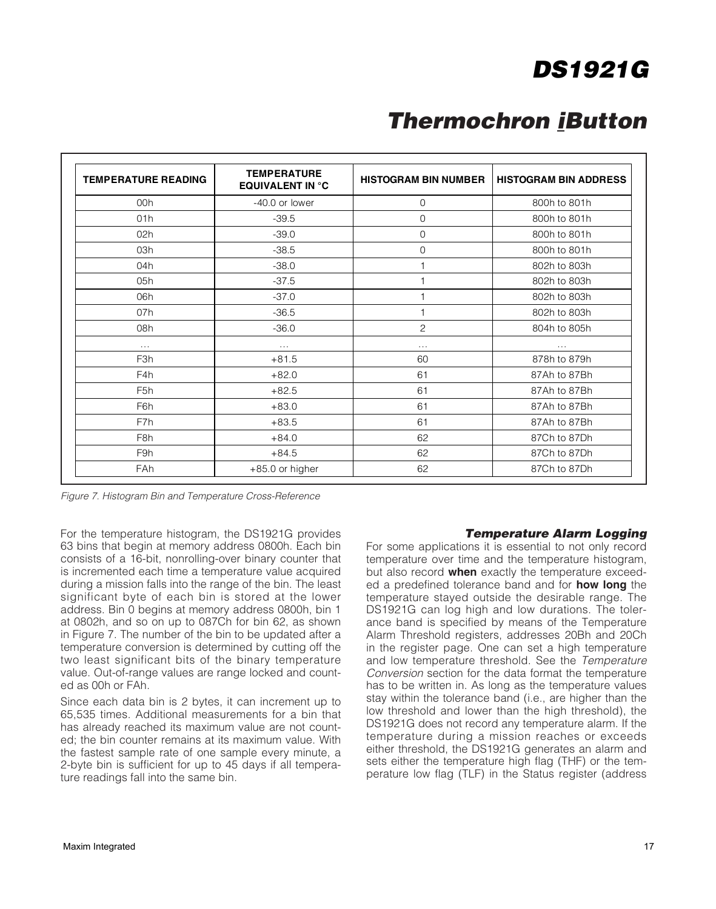## **Thermochron iButton**

| <b>TEMPERATURE READING</b> | <b>TEMPERATURE</b><br><b>EQUIVALENT IN °C</b> | <b>HISTOGRAM BIN NUMBER</b> | <b>HISTOGRAM BIN ADDRESS</b> |
|----------------------------|-----------------------------------------------|-----------------------------|------------------------------|
| 00h                        | -40.0 or lower                                | 0                           | 800h to 801h                 |
| 01h                        | $-39.5$                                       | $\mathbf 0$                 | 800h to 801h                 |
| 02h                        | $-39.0$                                       | $\mathbf 0$                 | 800h to 801h                 |
| 03h                        | $-38.5$                                       | $\mathbf 0$                 | 800h to 801h                 |
| 04h                        | $-38.0$                                       | 1                           | 802h to 803h                 |
| 05h                        | $-37.5$                                       | 1                           | 802h to 803h                 |
| 06h                        | $-37.0$                                       | 1                           | 802h to 803h                 |
| 07h                        | $-36.5$                                       | 1                           | 802h to 803h                 |
| 08h                        | $-36.0$                                       | 2                           | 804h to 805h                 |
| .                          | $\cdots$                                      | .                           | $\cdots$                     |
| F <sub>3h</sub>            | $+81.5$                                       | 60                          | 878h to 879h                 |
| F <sub>4</sub> h           | $+82.0$                                       | 61                          | 87Ah to 87Bh                 |
| F <sub>5</sub> h           | $+82.5$                                       | 61                          | 87Ah to 87Bh                 |
| F6h                        | $+83.0$                                       | 61                          | 87Ah to 87Bh                 |
| F7h                        | $+83.5$                                       | 61                          | 87Ah to 87Bh                 |
| F8h                        | $+84.0$                                       | 62                          | 87Ch to 87Dh                 |
| F9h                        | $+84.5$                                       | 62                          | 87Ch to 87Dh                 |
| FAh                        | +85.0 or higher                               | 62                          | 87Ch to 87Dh                 |

Figure 7. Histogram Bin and Temperature Cross-Reference

For the temperature histogram, the DS1921G provides 63 bins that begin at memory address 0800h. Each bin consists of a 16-bit, nonrolling-over binary counter that is incremented each time a temperature value acquired during a mission falls into the range of the bin. The least significant byte of each bin is stored at the lower address. Bin 0 begins at memory address 0800h, bin 1 at 0802h, and so on up to 087Ch for bin 62, as shown in Figure 7. The number of the bin to be updated after a temperature conversion is determined by cutting off the two least significant bits of the binary temperature value. Out-of-range values are range locked and counted as 00h or FAh.

Since each data bin is 2 bytes, it can increment up to 65,535 times. Additional measurements for a bin that has already reached its maximum value are not counted; the bin counter remains at its maximum value. With the fastest sample rate of one sample every minute, a 2-byte bin is sufficient for up to 45 days if all temperature readings fall into the same bin.

#### **Temperature Alarm Logging**

For some applications it is essential to not only record temperature over time and the temperature histogram, but also record **when** exactly the temperature exceeded a predefined tolerance band and for **how long** the temperature stayed outside the desirable range. The DS1921G can log high and low durations. The tolerance band is specified by means of the Temperature Alarm Threshold registers, addresses 20Bh and 20Ch in the register page. One can set a high temperature and low temperature threshold. See the Temperature Conversion section for the data format the temperature has to be written in. As long as the temperature values stay within the tolerance band (i.e., are higher than the low threshold and lower than the high threshold), the DS1921G does not record any temperature alarm. If the temperature during a mission reaches or exceeds either threshold, the DS1921G generates an alarm and sets either the temperature high flag (THF) or the temperature low flag (TLF) in the Status register (address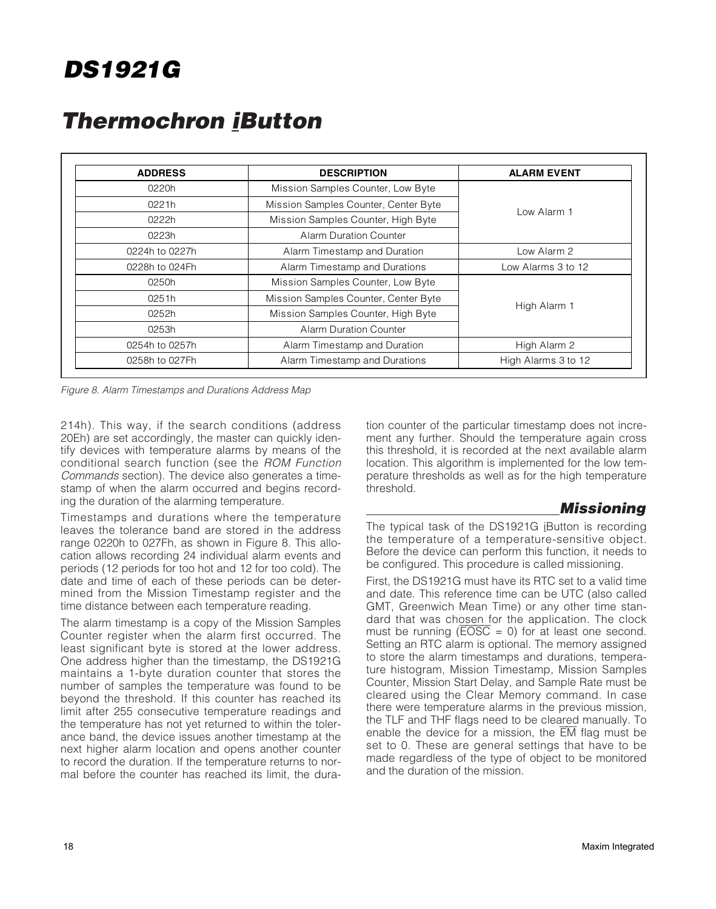| <b>ADDRESS</b> | <b>DESCRIPTION</b>                   | <b>ALARM EVENT</b>                                                                |
|----------------|--------------------------------------|-----------------------------------------------------------------------------------|
| 0220h          | Mission Samples Counter, Low Byte    |                                                                                   |
| 0221h          | Mission Samples Counter, Center Byte |                                                                                   |
| 0222h          | Mission Samples Counter, High Byte   | l ow Alarm 1<br>Low Alarm 2<br>Low Alarms 3 to 12<br>High Alarm 1<br>High Alarm 2 |
| 0223h          | <b>Alarm Duration Counter</b>        |                                                                                   |
| 0224h to 0227h | Alarm Timestamp and Duration         |                                                                                   |
| 0228h to 024Fh | Alarm Timestamp and Durations        |                                                                                   |
| 0250h          | Mission Samples Counter, Low Byte    |                                                                                   |
| 0251h          | Mission Samples Counter, Center Byte |                                                                                   |
| 0252h          | Mission Samples Counter, High Byte   |                                                                                   |
| 0253h          | <b>Alarm Duration Counter</b>        |                                                                                   |
| 0254h to 0257h | Alarm Timestamp and Duration         |                                                                                   |
| 0258h to 027Fh | Alarm Timestamp and Durations        | High Alarms 3 to 12                                                               |

### **Thermochron iButton**

Figure 8. Alarm Timestamps and Durations Address Map

214h). This way, if the search conditions (address 20Eh) are set accordingly, the master can quickly identify devices with temperature alarms by means of the conditional search function (see the ROM Function Commands section). The device also generates a timestamp of when the alarm occurred and begins recording the duration of the alarming temperature.

Timestamps and durations where the temperature leaves the tolerance band are stored in the address range 0220h to 027Fh, as shown in Figure 8. This allocation allows recording 24 individual alarm events and periods (12 periods for too hot and 12 for too cold). The date and time of each of these periods can be determined from the Mission Timestamp register and the time distance between each temperature reading.

The alarm timestamp is a copy of the Mission Samples Counter register when the alarm first occurred. The least significant byte is stored at the lower address. One address higher than the timestamp, the DS1921G maintains a 1-byte duration counter that stores the number of samples the temperature was found to be beyond the threshold. If this counter has reached its limit after 255 consecutive temperature readings and the temperature has not yet returned to within the tolerance band, the device issues another timestamp at the next higher alarm location and opens another counter to record the duration. If the temperature returns to normal before the counter has reached its limit, the duration counter of the particular timestamp does not increment any further. Should the temperature again cross this threshold, it is recorded at the next available alarm location. This algorithm is implemented for the low temperature thresholds as well as for the high temperature threshold.

#### **Missioning**

The typical task of the DS1921G iButton is recording the temperature of a temperature-sensitive object. Before the device can perform this function, it needs to be configured. This procedure is called missioning.

First, the DS1921G must have its RTC set to a valid time and date. This reference time can be UTC (also called GMT, Greenwich Mean Time) or any other time standard that was chosen for the application. The clock must be running  $(\overline{EOSC} = 0)$  for at least one second. Setting an RTC alarm is optional. The memory assigned to store the alarm timestamps and durations, temperature histogram, Mission Timestamp, Mission Samples Counter, Mission Start Delay, and Sample Rate must be cleared using the Clear Memory command. In case there were temperature alarms in the previous mission, the TLF and THF flags need to be cleared manually. To enable the device for a mission, the  $\overline{\text{EM}}$  flag must be set to 0. These are general settings that have to be made regardless of the type of object to be monitored and the duration of the mission.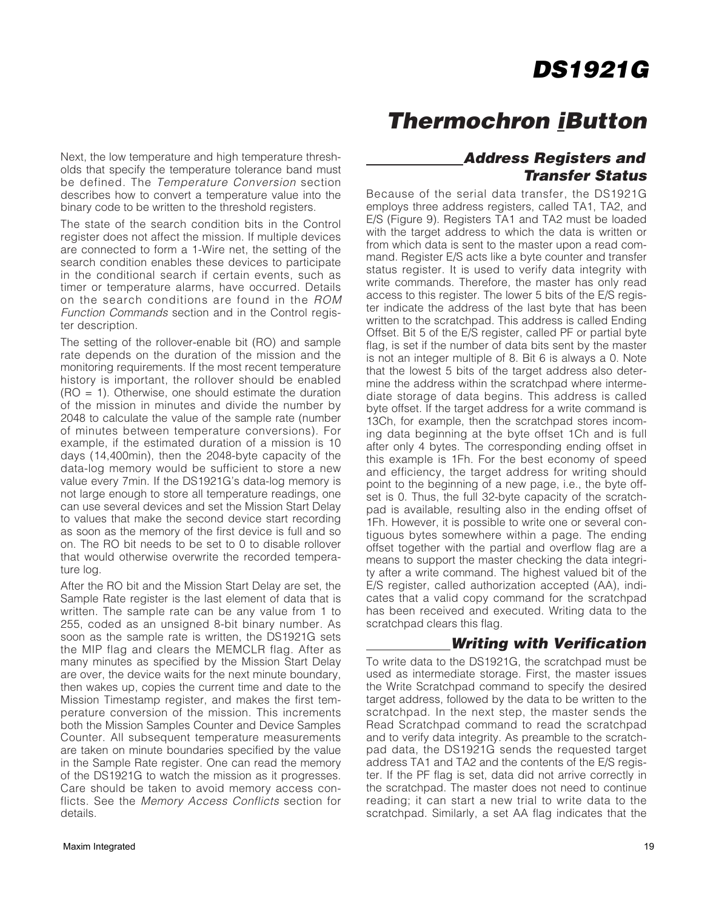**Thermochron iButton**

Next, the low temperature and high temperature thresholds that specify the temperature tolerance band must be defined. The Temperature Conversion section describes how to convert a temperature value into the binary code to be written to the threshold registers.

The state of the search condition bits in the Control register does not affect the mission. If multiple devices are connected to form a 1-Wire net, the setting of the search condition enables these devices to participate in the conditional search if certain events, such as timer or temperature alarms, have occurred. Details on the search conditions are found in the ROM Function Commands section and in the Control register description.

The setting of the rollover-enable bit (RO) and sample rate depends on the duration of the mission and the monitoring requirements. If the most recent temperature history is important, the rollover should be enabled  $(RO = 1)$ . Otherwise, one should estimate the duration of the mission in minutes and divide the number by 2048 to calculate the value of the sample rate (number of minutes between temperature conversions). For example, if the estimated duration of a mission is 10 days (14,400min), then the 2048-byte capacity of the data-log memory would be sufficient to store a new value every 7min. If the DS1921G's data-log memory is not large enough to store all temperature readings, one can use several devices and set the Mission Start Delay to values that make the second device start recording as soon as the memory of the first device is full and so on. The RO bit needs to be set to 0 to disable rollover that would otherwise overwrite the recorded temperature log.

After the RO bit and the Mission Start Delay are set, the Sample Rate register is the last element of data that is written. The sample rate can be any value from 1 to 255, coded as an unsigned 8-bit binary number. As soon as the sample rate is written, the DS1921G sets the MIP flag and clears the MEMCLR flag. After as many minutes as specified by the Mission Start Delay are over, the device waits for the next minute boundary, then wakes up, copies the current time and date to the Mission Timestamp register, and makes the first temperature conversion of the mission. This increments both the Mission Samples Counter and Device Samples Counter. All subsequent temperature measurements are taken on minute boundaries specified by the value in the Sample Rate register. One can read the memory of the DS1921G to watch the mission as it progresses. Care should be taken to avoid memory access conflicts. See the Memory Access Conflicts section for details.

#### **Address Registers and Transfer Status**

Because of the serial data transfer, the DS1921G employs three address registers, called TA1, TA2, and E/S (Figure 9). Registers TA1 and TA2 must be loaded with the target address to which the data is written or from which data is sent to the master upon a read command. Register E/S acts like a byte counter and transfer status register. It is used to verify data integrity with write commands. Therefore, the master has only read access to this register. The lower 5 bits of the E/S register indicate the address of the last byte that has been written to the scratchpad. This address is called Ending Offset. Bit 5 of the E/S register, called PF or partial byte flag, is set if the number of data bits sent by the master is not an integer multiple of 8. Bit 6 is always a 0. Note that the lowest 5 bits of the target address also determine the address within the scratchpad where intermediate storage of data begins. This address is called byte offset. If the target address for a write command is 13Ch, for example, then the scratchpad stores incoming data beginning at the byte offset 1Ch and is full after only 4 bytes. The corresponding ending offset in this example is 1Fh. For the best economy of speed and efficiency, the target address for writing should point to the beginning of a new page, i.e., the byte offset is 0. Thus, the full 32-byte capacity of the scratchpad is available, resulting also in the ending offset of 1Fh. However, it is possible to write one or several contiguous bytes somewhere within a page. The ending offset together with the partial and overflow flag are a means to support the master checking the data integrity after a write command. The highest valued bit of the E/S register, called authorization accepted (AA), indicates that a valid copy command for the scratchpad has been received and executed. Writing data to the scratchpad clears this flag.

#### **Writing with Verification**

To write data to the DS1921G, the scratchpad must be used as intermediate storage. First, the master issues the Write Scratchpad command to specify the desired target address, followed by the data to be written to the scratchpad. In the next step, the master sends the Read Scratchpad command to read the scratchpad and to verify data integrity. As preamble to the scratchpad data, the DS1921G sends the requested target address TA1 and TA2 and the contents of the E/S register. If the PF flag is set, data did not arrive correctly in the scratchpad. The master does not need to continue reading; it can start a new trial to write data to the scratchpad. Similarly, a set AA flag indicates that the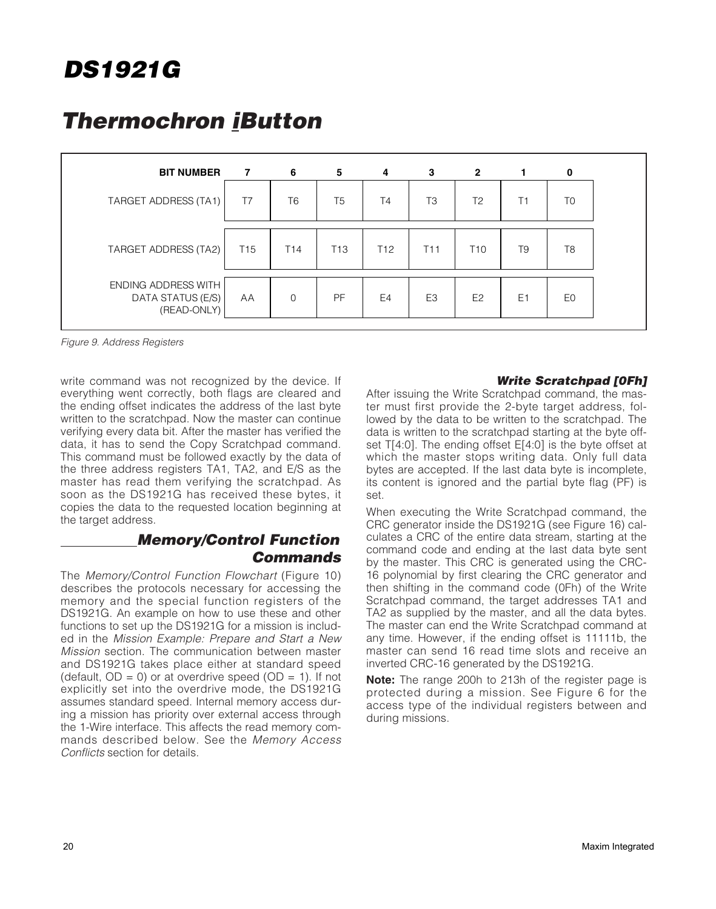## **Thermochron iButton**

| <b>BIT NUMBER</b>                                              | $\overline{7}$  | 6               | 5               | 4               | 3              | $\overline{2}$  | 1              | 0              |
|----------------------------------------------------------------|-----------------|-----------------|-----------------|-----------------|----------------|-----------------|----------------|----------------|
| TARGET ADDRESS (TA1)                                           | T7              | T <sub>6</sub>  | T <sub>5</sub>  | T4              | T <sub>3</sub> | T <sub>2</sub>  | T1             | T <sub>0</sub> |
| TARGET ADDRESS (TA2)                                           | T <sub>15</sub> | T <sub>14</sub> | T <sub>13</sub> | T <sub>12</sub> | T11            | T <sub>10</sub> | T <sub>9</sub> | T <sub>8</sub> |
| <b>ENDING ADDRESS WITH</b><br>DATA STATUS (E/S)<br>(READ-ONLY) | AA              | $\mathbf 0$     | <b>PF</b>       | E <sub>4</sub>  | E <sub>3</sub> | E <sub>2</sub>  | E <sub>1</sub> | E <sub>0</sub> |

Figure 9. Address Registers

write command was not recognized by the device. If everything went correctly, both flags are cleared and the ending offset indicates the address of the last byte written to the scratchpad. Now the master can continue verifying every data bit. After the master has verified the data, it has to send the Copy Scratchpad command. This command must be followed exactly by the data of the three address registers TA1, TA2, and E/S as the master has read them verifying the scratchpad. As soon as the DS1921G has received these bytes, it copies the data to the requested location beginning at the target address.

#### **Memory/Control Function Commands**

The Memory/Control Function Flowchart (Figure 10) describes the protocols necessary for accessing the memory and the special function registers of the DS1921G. An example on how to use these and other functions to set up the DS1921G for a mission is included in the Mission Example: Prepare and Start a New Mission section. The communication between master and DS1921G takes place either at standard speed (default,  $OD = 0$ ) or at overdrive speed ( $OD = 1$ ). If not explicitly set into the overdrive mode, the DS1921G assumes standard speed. Internal memory access during a mission has priority over external access through the 1-Wire interface. This affects the read memory commands described below. See the Memory Access Conflicts section for details.

#### **Write Scratchpad [0Fh]**

After issuing the Write Scratchpad command, the master must first provide the 2-byte target address, followed by the data to be written to the scratchpad. The data is written to the scratchpad starting at the byte offset T[4:0]. The ending offset E[4:0] is the byte offset at which the master stops writing data. Only full data bytes are accepted. If the last data byte is incomplete, its content is ignored and the partial byte flag (PF) is set.

When executing the Write Scratchpad command, the CRC generator inside the DS1921G (see Figure 16) calculates a CRC of the entire data stream, starting at the command code and ending at the last data byte sent by the master. This CRC is generated using the CRC-16 polynomial by first clearing the CRC generator and then shifting in the command code (0Fh) of the Write Scratchpad command, the target addresses TA1 and TA2 as supplied by the master, and all the data bytes. The master can end the Write Scratchpad command at any time. However, if the ending offset is 11111b, the master can send 16 read time slots and receive an inverted CRC-16 generated by the DS1921G.

**Note:** The range 200h to 213h of the register page is protected during a mission. See Figure 6 for the access type of the individual registers between and during missions.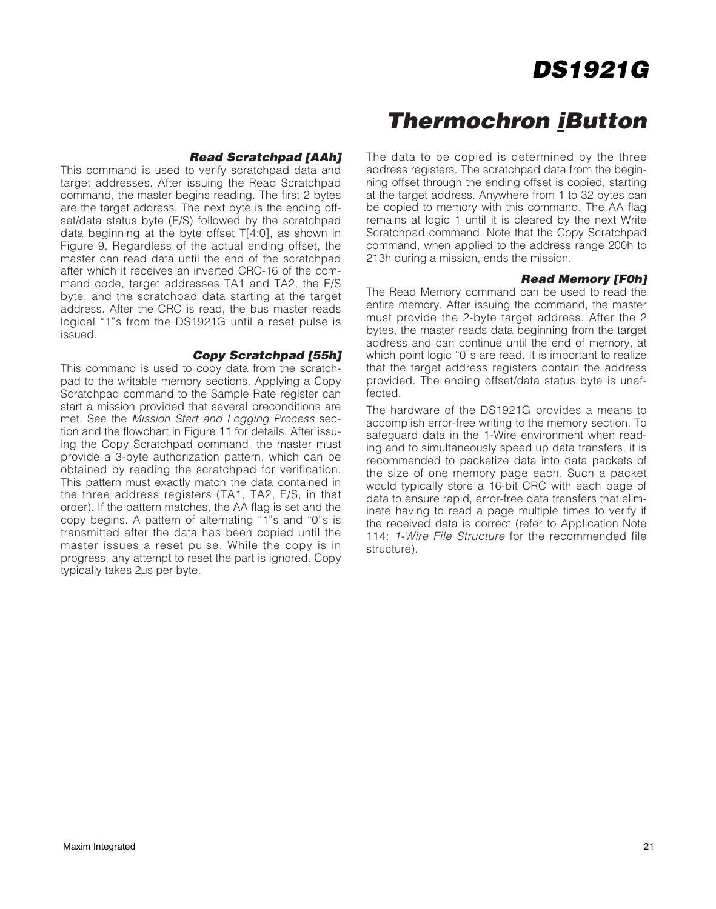### **Thermochron iButton**

#### **Read Scratchpad [AAh]**

This command is used to verify scratchpad data and target addresses. After issuing the Read Scratchpad command, the master begins reading. The first 2 bytes are the target address. The next byte is the ending offset/data status byte (E/S) followed by the scratchpad data beginning at the byte offset T[4:0], as shown in Figure 9. Regardless of the actual ending offset, the master can read data until the end of the scratchpad after which it receives an inverted CRC-16 of the command code, target addresses TA1 and TA2, the E/S byte, and the scratchpad data starting at the target address. After the CRC is read, the bus master reads logical "1"s from the DS1921G until a reset pulse is issued.

#### **Copy Scratchpad [55h]**

This command is used to copy data from the scratchpad to the writable memory sections. Applying a Copy Scratchpad command to the Sample Rate register can start a mission provided that several preconditions are met. See the Mission Start and Logging Process section and the flowchart in Figure 11 for details. After issuing the Copy Scratchpad command, the master must provide a 3-byte authorization pattern, which can be obtained by reading the scratchpad for verification. This pattern must exactly match the data contained in the three address registers (TA1, TA2, E/S, in that order). If the pattern matches, the AA flag is set and the copy begins. A pattern of alternating "1"s and "0"s is transmitted after the data has been copied until the master issues a reset pulse. While the copy is in progress, any attempt to reset the part is ignored. Copy typically takes 2µs per byte.

The data to be copied is determined by the three address registers. The scratchpad data from the beginning offset through the ending offset is copied, starting at the target address. Anywhere from 1 to 32 bytes can be copied to memory with this command. The AA flag remains at logic 1 until it is cleared by the next Write Scratchpad command. Note that the Copy Scratchpad command, when applied to the address range 200h to 213h during a mission, ends the mission.

#### **Read Memory [F0h]**

The Read Memory command can be used to read the entire memory. After issuing the command, the master must provide the 2-byte target address. After the 2 bytes, the master reads data beginning from the target address and can continue until the end of memory, at which point logic "0"s are read. It is important to realize that the target address registers contain the address provided. The ending offset/data status byte is unaffected.

The hardware of the DS1921G provides a means to accomplish error-free writing to the memory section. To safeguard data in the 1-Wire environment when reading and to simultaneously speed up data transfers, it is recommended to packetize data into data packets of the size of one memory page each. Such a packet would typically store a 16-bit CRC with each page of data to ensure rapid, error-free data transfers that eliminate having to read a page multiple times to verify if the received data is correct (refer to Application Note 114: 1-Wire File Structure for the recommended file structure).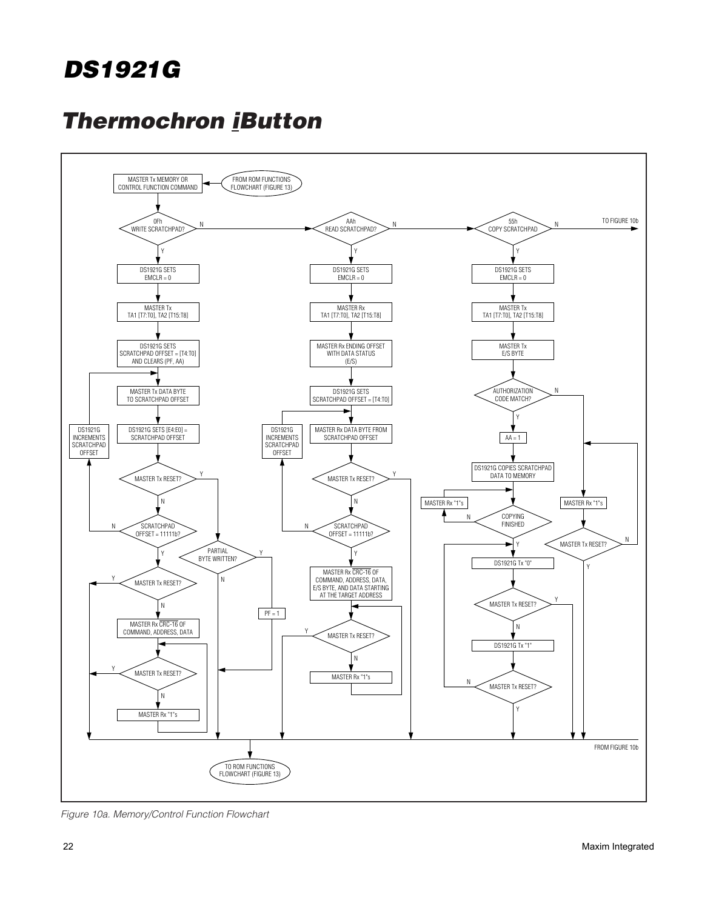

Figure 10a. Memory/Control Function Flowchart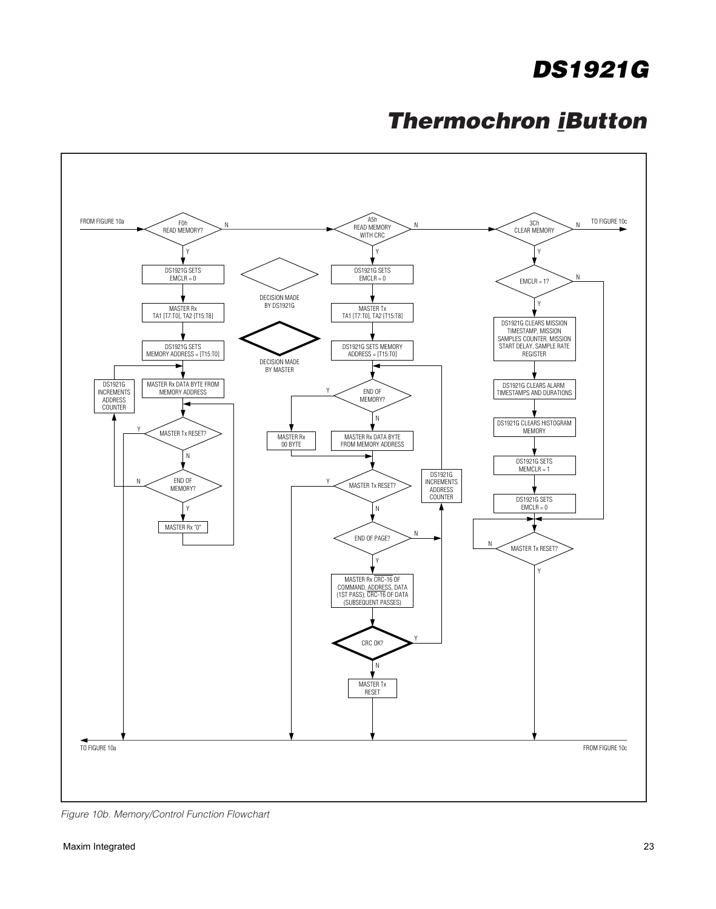

Figure 10b. Memory/Control Function Flowchart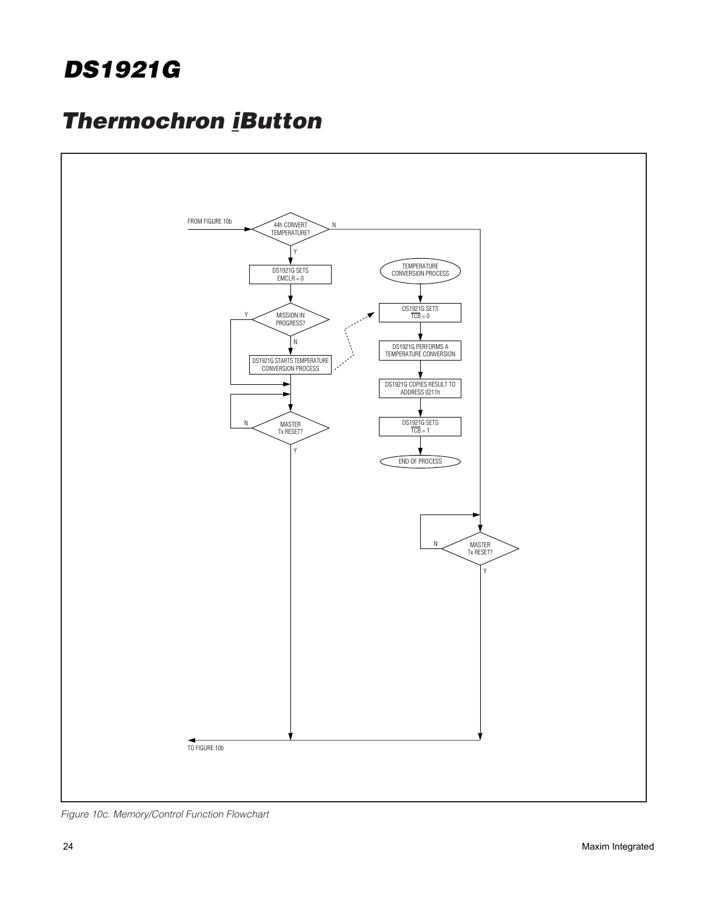

Figure 10c. Memory/Control Function Flowchart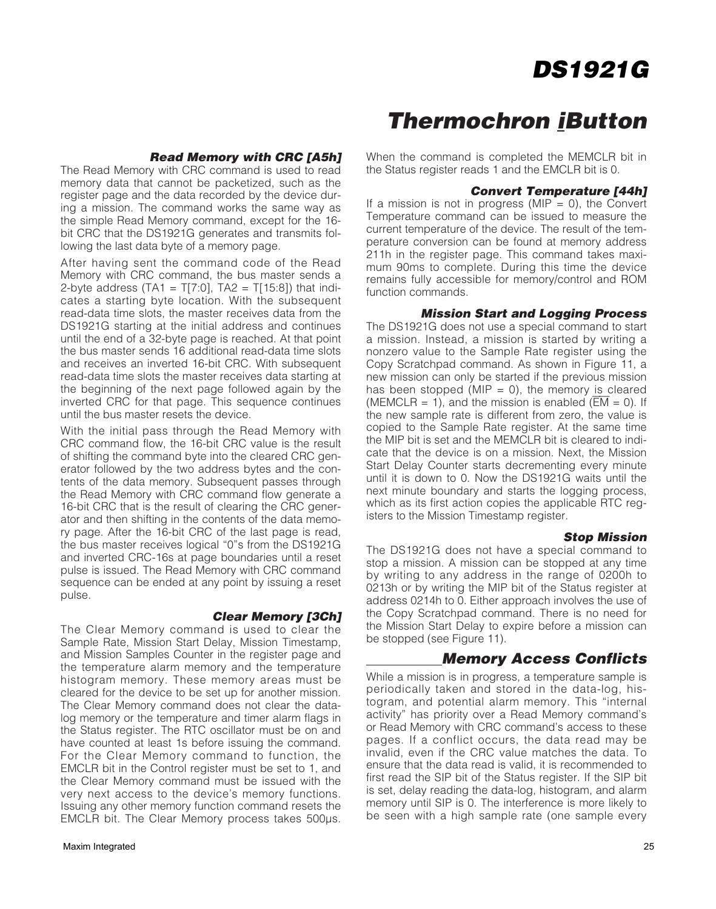#### **Read Memory with CRC [A5h]**

The Read Memory with CRC command is used to read memory data that cannot be packetized, such as the register page and the data recorded by the device during a mission. The command works the same way as the simple Read Memory command, except for the 16 bit CRC that the DS1921G generates and transmits following the last data byte of a memory page.

After having sent the command code of the Read Memory with CRC command, the bus master sends a 2-byte address (TA1 = T[7:0], TA2 = T[15:8]) that indicates a starting byte location. With the subsequent read-data time slots, the master receives data from the DS1921G starting at the initial address and continues until the end of a 32-byte page is reached. At that point the bus master sends 16 additional read-data time slots and receives an inverted 16-bit CRC. With subsequent read-data time slots the master receives data starting at the beginning of the next page followed again by the inverted CRC for that page. This sequence continues until the bus master resets the device.

With the initial pass through the Read Memory with CRC command flow, the 16-bit CRC value is the result of shifting the command byte into the cleared CRC generator followed by the two address bytes and the contents of the data memory. Subsequent passes through the Read Memory with CRC command flow generate a 16-bit CRC that is the result of clearing the CRC generator and then shifting in the contents of the data memory page. After the 16-bit CRC of the last page is read, the bus master receives logical "0"s from the DS1921G and inverted CRC-16s at page boundaries until a reset pulse is issued. The Read Memory with CRC command sequence can be ended at any point by issuing a reset pulse.

#### **Clear Memory [3Ch]**

The Clear Memory command is used to clear the Sample Rate, Mission Start Delay, Mission Timestamp, and Mission Samples Counter in the register page and the temperature alarm memory and the temperature histogram memory. These memory areas must be cleared for the device to be set up for another mission. The Clear Memory command does not clear the datalog memory or the temperature and timer alarm flags in the Status register. The RTC oscillator must be on and have counted at least 1s before issuing the command. For the Clear Memory command to function, the EMCLR bit in the Control register must be set to 1, and the Clear Memory command must be issued with the very next access to the device's memory functions. Issuing any other memory function command resets the EMCLR bit. The Clear Memory process takes 500µs.

### **Thermochron iButton**

When the command is completed the MEMCLR bit in the Status register reads 1 and the EMCLR bit is 0.

#### **Convert Temperature [44h]**

If a mission is not in progress (MIP =  $0$ ), the Convert Temperature command can be issued to measure the current temperature of the device. The result of the temperature conversion can be found at memory address 211h in the register page. This command takes maximum 90ms to complete. During this time the device remains fully accessible for memory/control and ROM function commands.

#### **Mission Start and Logging Process**

The DS1921G does not use a special command to start a mission. Instead, a mission is started by writing a nonzero value to the Sample Rate register using the Copy Scratchpad command. As shown in Figure 11, a new mission can only be started if the previous mission has been stopped (MIP = 0), the memory is cleared (MEMCLR = 1), and the mission is enabled ( $\overline{EM}$  = 0). If the new sample rate is different from zero, the value is copied to the Sample Rate register. At the same time the MIP bit is set and the MEMCLR bit is cleared to indicate that the device is on a mission. Next, the Mission Start Delay Counter starts decrementing every minute until it is down to 0. Now the DS1921G waits until the next minute boundary and starts the logging process, which as its first action copies the applicable RTC registers to the Mission Timestamp register.

#### **Stop Mission**

The DS1921G does not have a special command to stop a mission. A mission can be stopped at any time by writing to any address in the range of 0200h to 0213h or by writing the MIP bit of the Status register at address 0214h to 0. Either approach involves the use of the Copy Scratchpad command. There is no need for the Mission Start Delay to expire before a mission can be stopped (see Figure 11).

#### **Memory Access Conflicts**

While a mission is in progress, a temperature sample is periodically taken and stored in the data-log, histogram, and potential alarm memory. This "internal activity" has priority over a Read Memory command's or Read Memory with CRC command's access to these pages. If a conflict occurs, the data read may be invalid, even if the CRC value matches the data. To ensure that the data read is valid, it is recommended to first read the SIP bit of the Status register. If the SIP bit is set, delay reading the data-log, histogram, and alarm memory until SIP is 0. The interference is more likely to be seen with a high sample rate (one sample every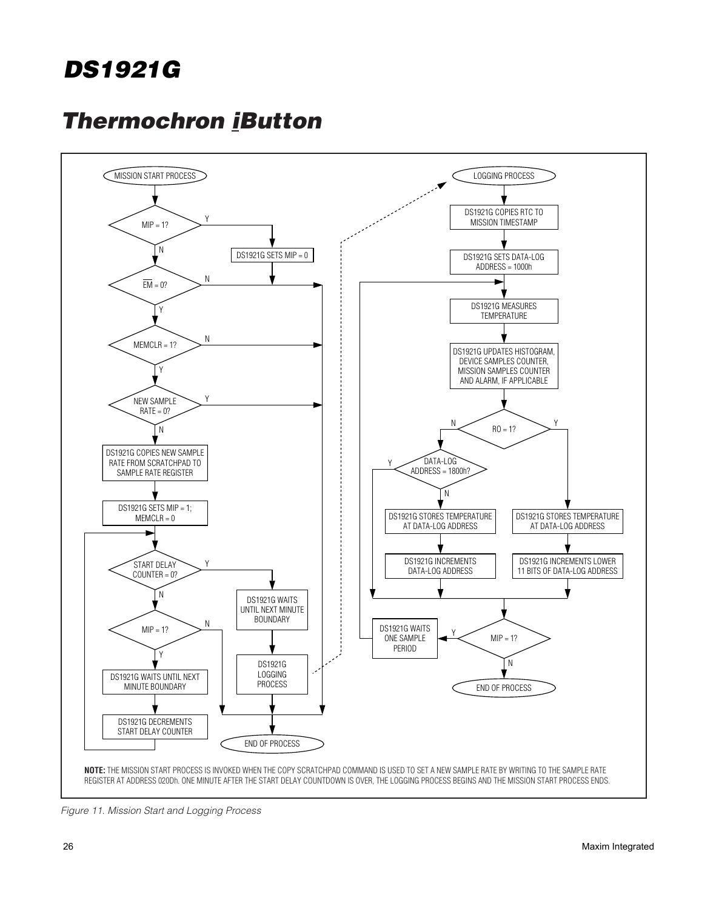

Figure 11. Mission Start and Logging Process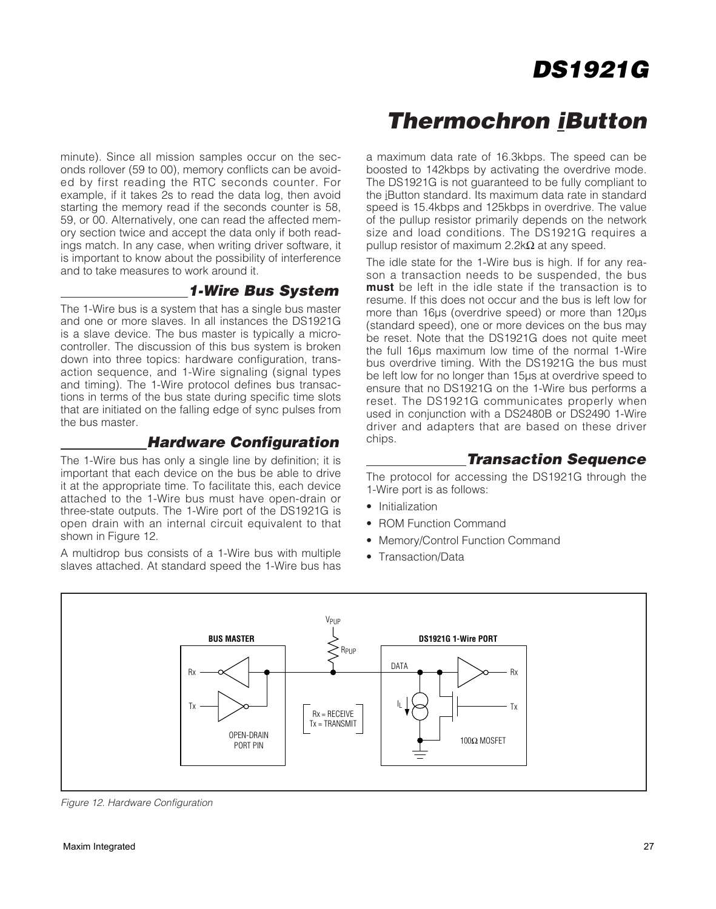minute). Since all mission samples occur on the seconds rollover (59 to 00), memory conflicts can be avoided by first reading the RTC seconds counter. For example, if it takes 2s to read the data log, then avoid starting the memory read if the seconds counter is 58, 59, or 00. Alternatively, one can read the affected memory section twice and accept the data only if both readings match. In any case, when writing driver software, it is important to know about the possibility of interference and to take measures to work around it.

#### **1-Wire Bus System**

The 1-Wire bus is a system that has a single bus master and one or more slaves. In all instances the DS1921G is a slave device. The bus master is typically a microcontroller. The discussion of this bus system is broken down into three topics: hardware configuration, transaction sequence, and 1-Wire signaling (signal types and timing). The 1-Wire protocol defines bus transactions in terms of the bus state during specific time slots that are initiated on the falling edge of sync pulses from the bus master.

#### **Hardware Configuration**

The 1-Wire bus has only a single line by definition; it is important that each device on the bus be able to drive it at the appropriate time. To facilitate this, each device attached to the 1-Wire bus must have open-drain or three-state outputs. The 1-Wire port of the DS1921G is open drain with an internal circuit equivalent to that shown in Figure 12.

A multidrop bus consists of a 1-Wire bus with multiple slaves attached. At standard speed the 1-Wire bus has

### **Thermochron iButton**

a maximum data rate of 16.3kbps. The speed can be boosted to 142kbps by activating the overdrive mode. The DS1921G is not guaranteed to be fully compliant to the iButton standard. Its maximum data rate in standard speed is 15.4kbps and 125kbps in overdrive. The value of the pullup resistor primarily depends on the network size and load conditions. The DS1921G requires a pullup resistor of maximum  $2.2 \text{k}\Omega$  at any speed.

The idle state for the 1-Wire bus is high. If for any reason a transaction needs to be suspended, the bus **must** be left in the idle state if the transaction is to resume. If this does not occur and the bus is left low for more than 16µs (overdrive speed) or more than 120µs (standard speed), one or more devices on the bus may be reset. Note that the DS1921G does not quite meet the full 16µs maximum low time of the normal 1-Wire bus overdrive timing. With the DS1921G the bus must be left low for no longer than 15µs at overdrive speed to ensure that no DS1921G on the 1-Wire bus performs a reset. The DS1921G communicates properly when used in conjunction with a DS2480B or DS2490 1-Wire driver and adapters that are based on these driver chips.

#### **Transaction Sequence**

The protocol for accessing the DS1921G through the 1-Wire port is as follows:

- Initialization
- ROM Function Command
- Memory/Control Function Command
- Transaction/Data



Figure 12. Hardware Configuration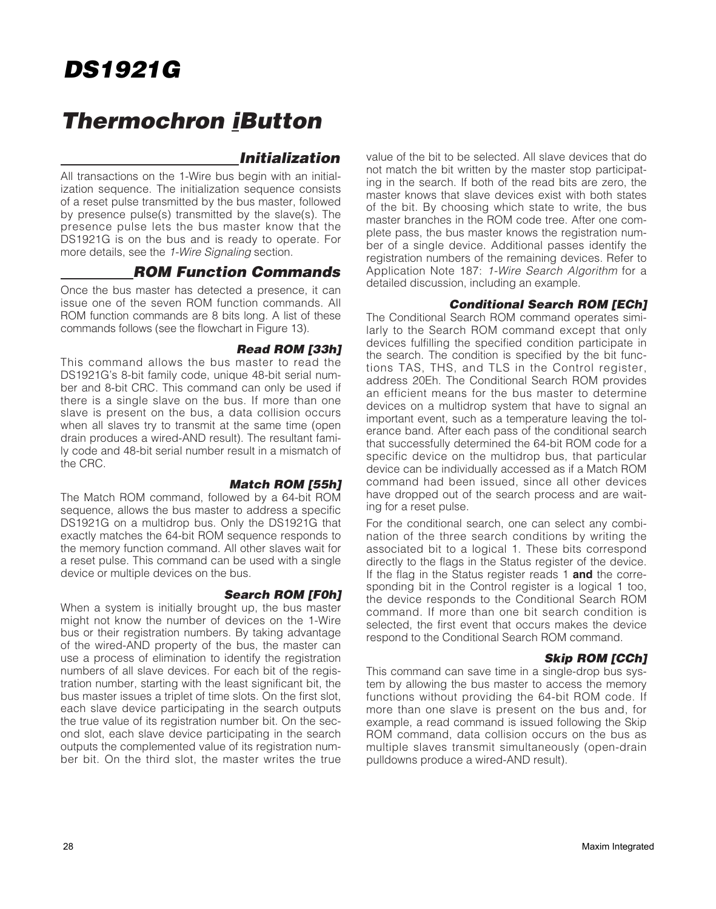### **Thermochron iButton**

#### **Initialization**

All transactions on the 1-Wire bus begin with an initialization sequence. The initialization sequence consists of a reset pulse transmitted by the bus master, followed by presence pulse(s) transmitted by the slave(s). The presence pulse lets the bus master know that the DS1921G is on the bus and is ready to operate. For more details, see the 1-Wire Signaling section.

#### **ROM Function Commands**

Once the bus master has detected a presence, it can issue one of the seven ROM function commands. All ROM function commands are 8 bits long. A list of these commands follows (see the flowchart in Figure 13).

#### **Read ROM [33h]**

This command allows the bus master to read the DS1921G's 8-bit family code, unique 48-bit serial number and 8-bit CRC. This command can only be used if there is a single slave on the bus. If more than one slave is present on the bus, a data collision occurs when all slaves try to transmit at the same time (open drain produces a wired-AND result). The resultant family code and 48-bit serial number result in a mismatch of the CRC.

#### **Match ROM [55h]**

The Match ROM command, followed by a 64-bit ROM sequence, allows the bus master to address a specific DS1921G on a multidrop bus. Only the DS1921G that exactly matches the 64-bit ROM sequence responds to the memory function command. All other slaves wait for a reset pulse. This command can be used with a single device or multiple devices on the bus.

#### **Search ROM [F0h]**

When a system is initially brought up, the bus master might not know the number of devices on the 1-Wire bus or their registration numbers. By taking advantage of the wired-AND property of the bus, the master can use a process of elimination to identify the registration numbers of all slave devices. For each bit of the registration number, starting with the least significant bit, the bus master issues a triplet of time slots. On the first slot, each slave device participating in the search outputs the true value of its registration number bit. On the second slot, each slave device participating in the search outputs the complemented value of its registration number bit. On the third slot, the master writes the true value of the bit to be selected. All slave devices that do not match the bit written by the master stop participating in the search. If both of the read bits are zero, the master knows that slave devices exist with both states of the bit. By choosing which state to write, the bus master branches in the ROM code tree. After one complete pass, the bus master knows the registration number of a single device. Additional passes identify the registration numbers of the remaining devices. Refer to Application Note 187: 1-Wire Search Algorithm for a detailed discussion, including an example.

#### **Conditional Search ROM [ECh]**

The Conditional Search ROM command operates similarly to the Search ROM command except that only devices fulfilling the specified condition participate in the search. The condition is specified by the bit functions TAS, THS, and TLS in the Control register, address 20Eh. The Conditional Search ROM provides an efficient means for the bus master to determine devices on a multidrop system that have to signal an important event, such as a temperature leaving the tolerance band. After each pass of the conditional search that successfully determined the 64-bit ROM code for a specific device on the multidrop bus, that particular device can be individually accessed as if a Match ROM command had been issued, since all other devices have dropped out of the search process and are waiting for a reset pulse.

For the conditional search, one can select any combination of the three search conditions by writing the associated bit to a logical 1. These bits correspond directly to the flags in the Status register of the device. If the flag in the Status register reads 1 **and** the corresponding bit in the Control register is a logical 1 too, the device responds to the Conditional Search ROM command. If more than one bit search condition is selected, the first event that occurs makes the device respond to the Conditional Search ROM command.

#### **Skip ROM [CCh]**

This command can save time in a single-drop bus system by allowing the bus master to access the memory functions without providing the 64-bit ROM code. If more than one slave is present on the bus and, for example, a read command is issued following the Skip ROM command, data collision occurs on the bus as multiple slaves transmit simultaneously (open-drain pulldowns produce a wired-AND result).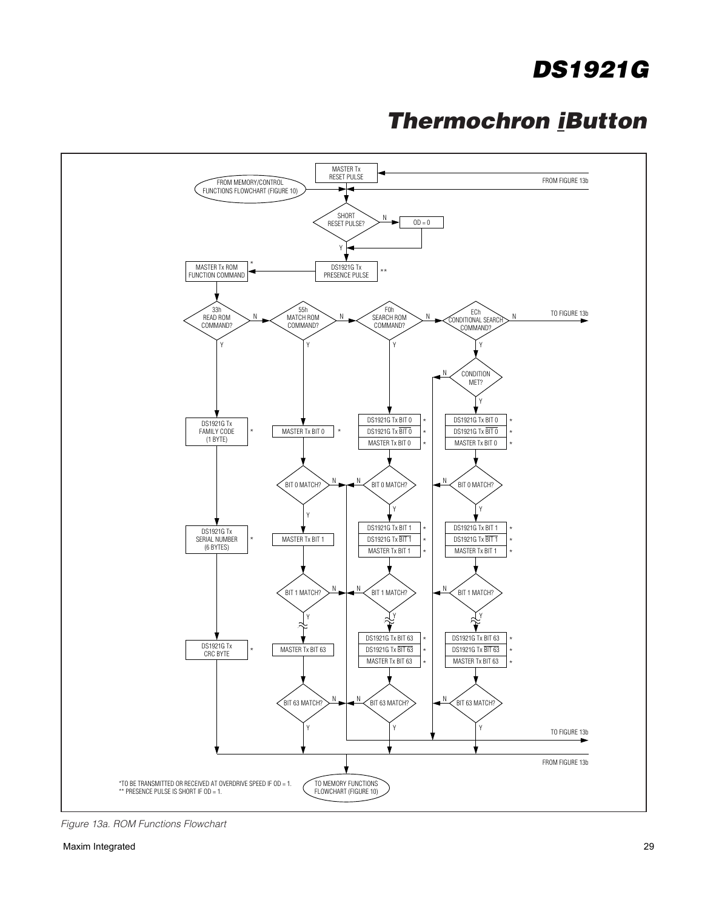

Figure 13a. ROM Functions Flowchart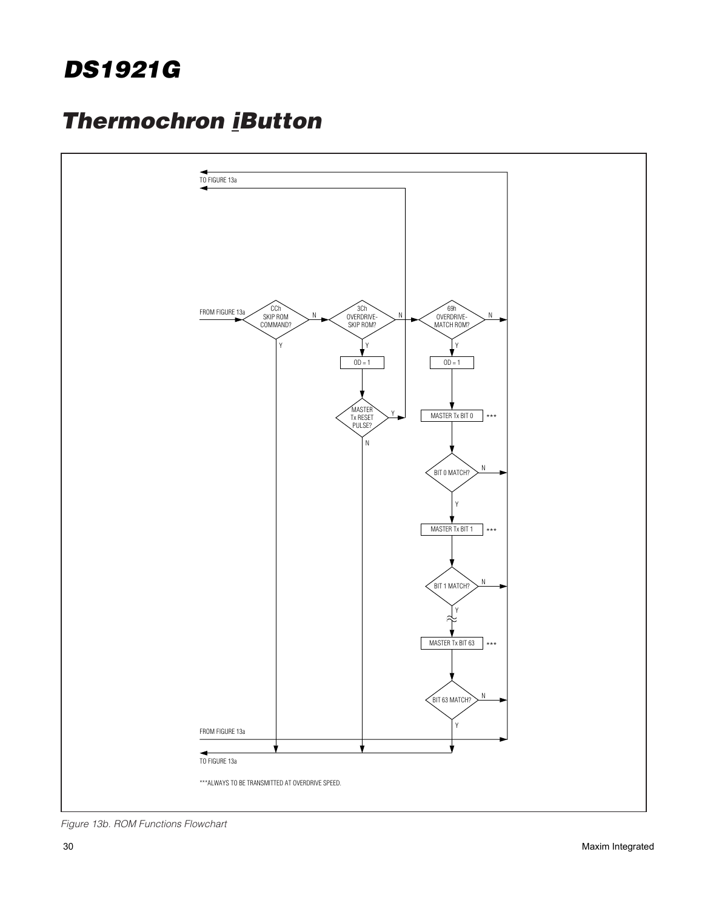

Figure 13b. ROM Functions Flowchart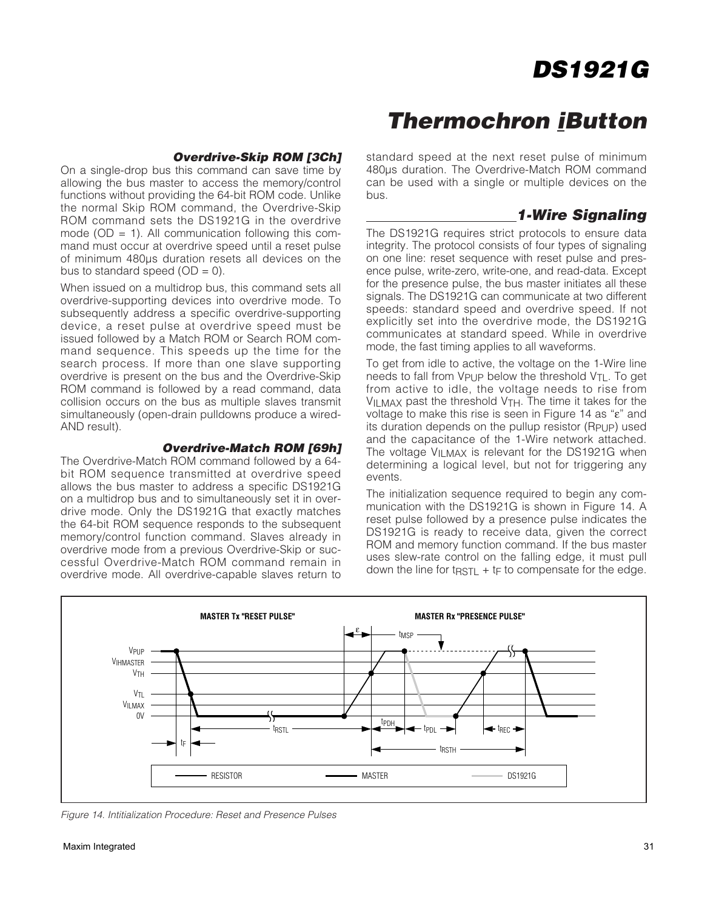### **Thermochron iButton**

#### **Overdrive-Skip ROM [3Ch]**

On a single-drop bus this command can save time by allowing the bus master to access the memory/control functions without providing the 64-bit ROM code. Unlike the normal Skip ROM command, the Overdrive-Skip ROM command sets the DS1921G in the overdrive mode ( $OD = 1$ ). All communication following this command must occur at overdrive speed until a reset pulse of minimum 480µs duration resets all devices on the bus to standard speed  $(OD = 0)$ .

When issued on a multidrop bus, this command sets all overdrive-supporting devices into overdrive mode. To subsequently address a specific overdrive-supporting device, a reset pulse at overdrive speed must be issued followed by a Match ROM or Search ROM command sequence. This speeds up the time for the search process. If more than one slave supporting overdrive is present on the bus and the Overdrive-Skip ROM command is followed by a read command, data collision occurs on the bus as multiple slaves transmit simultaneously (open-drain pulldowns produce a wired-AND result).

#### **Overdrive-Match ROM [69h]**

The Overdrive-Match ROM command followed by a 64 bit ROM sequence transmitted at overdrive speed allows the bus master to address a specific DS1921G on a multidrop bus and to simultaneously set it in overdrive mode. Only the DS1921G that exactly matches the 64-bit ROM sequence responds to the subsequent memory/control function command. Slaves already in overdrive mode from a previous Overdrive-Skip or successful Overdrive-Match ROM command remain in overdrive mode. All overdrive-capable slaves return to

standard speed at the next reset pulse of minimum 480µs duration. The Overdrive-Match ROM command can be used with a single or multiple devices on the bus.

#### **1-Wire Signaling**

The DS1921G requires strict protocols to ensure data integrity. The protocol consists of four types of signaling on one line: reset sequence with reset pulse and presence pulse, write-zero, write-one, and read-data. Except for the presence pulse, the bus master initiates all these signals. The DS1921G can communicate at two different speeds: standard speed and overdrive speed. If not explicitly set into the overdrive mode, the DS1921G communicates at standard speed. While in overdrive mode, the fast timing applies to all waveforms.

To get from idle to active, the voltage on the 1-Wire line needs to fall from VPUP below the threshold VTL. To get from active to idle, the voltage needs to rise from VILMAX past the threshold V<sub>TH</sub>. The time it takes for the voltage to make this rise is seen in Figure 14 as "ε" and its duration depends on the pullup resistor (RPUP) used and the capacitance of the 1-Wire network attached. The voltage VILMAX is relevant for the DS1921G when determining a logical level, but not for triggering any events.

The initialization sequence required to begin any communication with the DS1921G is shown in Figure 14. A reset pulse followed by a presence pulse indicates the DS1921G is ready to receive data, given the correct ROM and memory function command. If the bus master uses slew-rate control on the falling edge, it must pull down the line for tractlecturies to compensate for the edge.



Figure 14. Intitialization Procedure: Reset and Presence Pulses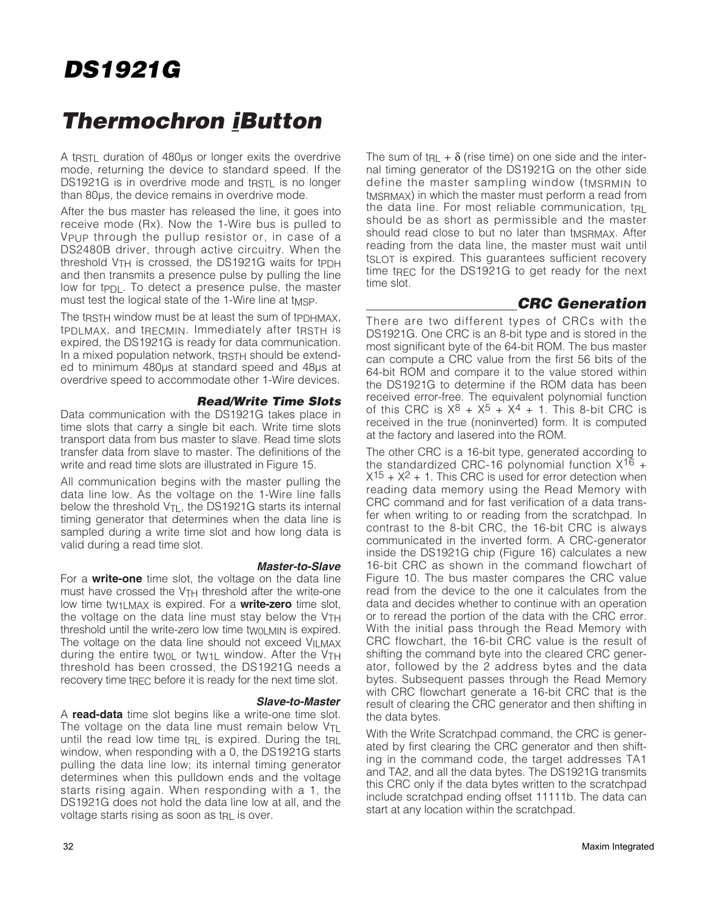### **Thermochron iButton**

A t<sub>RSTL</sub> duration of 480us or longer exits the overdrive mode, returning the device to standard speed. If the DS1921G is in overdrive mode and tractle is no longer than 80µs, the device remains in overdrive mode.

After the bus master has released the line, it goes into receive mode (Rx). Now the 1-Wire bus is pulled to VPUP through the pullup resistor or, in case of a DS2480B driver, through active circuitry. When the threshold  $V<sub>TH</sub>$  is crossed, the DS1921G waits for t $p<sub>DH</sub>$ and then transmits a presence pulse by pulling the line low for tep. To detect a presence pulse, the master must test the logical state of the 1-Wire line at t<sub>MSP</sub>.

The tracted window must be at least the sum of tpp HMAX, tPDLMAX, and tRECMIN. Immediately after tRSTH is expired, the DS1921G is ready for data communication. In a mixed population network, tRSTH should be extended to minimum 480µs at standard speed and 48µs at overdrive speed to accommodate other 1-Wire devices.

#### **Read/Write Time Slots**

Data communication with the DS1921G takes place in time slots that carry a single bit each. Write time slots transport data from bus master to slave. Read time slots transfer data from slave to master. The definitions of the write and read time slots are illustrated in Figure 15.

All communication begins with the master pulling the data line low. As the voltage on the 1-Wire line falls below the threshold  $V_{TL}$ , the DS1921G starts its internal timing generator that determines when the data line is sampled during a write time slot and how long data is valid during a read time slot.

#### **Master-to-Slave**

For a **write-one** time slot, the voltage on the data line must have crossed the VTH threshold after the write-one low time tW1LMAX is expired. For a **write-zero** time slot, the voltage on the data line must stay below the  $V<sub>TH</sub>$ threshold until the write-zero low time two LMIN is expired. The voltage on the data line should not exceed VII MAX during the entire twol or tw<sub>1</sub> window. After the V<sub>TH</sub> threshold has been crossed, the DS1921G needs a recovery time t<sub>REC</sub> before it is ready for the next time slot.

#### **Slave-to-Master**

A **read-data** time slot begins like a write-one time slot. The voltage on the data line must remain below  $V_{\text{II}}$ until the read low time  $tr_{RL}$  is expired. During the  $tr_{RL}$ window, when responding with a 0, the DS1921G starts pulling the data line low; its internal timing generator determines when this pulldown ends and the voltage starts rising again. When responding with a 1, the DS1921G does not hold the data line low at all, and the voltage starts rising as soon as tRL is over.

The sum of t<sub>RL</sub> +  $\delta$  (rise time) on one side and the internal timing generator of the DS1921G on the other side define the master sampling window (tMSRMIN to tMSRMAX) in which the master must perform a read from the data line. For most reliable communication, tRL should be as short as permissible and the master should read close to but no later than tMSRMAX. After reading from the data line, the master must wait until tSLOT is expired. This guarantees sufficient recovery time t<sub>REC</sub> for the DS1921G to get ready for the next time slot.

#### **CRC Generation**

There are two different types of CRCs with the DS1921G. One CRC is an 8-bit type and is stored in the most significant byte of the 64-bit ROM. The bus master can compute a CRC value from the first 56 bits of the 64-bit ROM and compare it to the value stored within the DS1921G to determine if the ROM data has been received error-free. The equivalent polynomial function of this CRC is  $X^8 + X^5 + X^4 + 1$ . This 8-bit CRC is received in the true (noninverted) form. It is computed at the factory and lasered into the ROM.

The other CRC is a 16-bit type, generated according to the standardized CRC-16 polynomial function  $X^{16}$  +  $X^{15} + X^2 + 1$ . This CRC is used for error detection when reading data memory using the Read Memory with CRC command and for fast verification of a data transfer when writing to or reading from the scratchpad. In contrast to the 8-bit CRC, the 16-bit CRC is always communicated in the inverted form. A CRC-generator inside the DS1921G chip (Figure 16) calculates a new 16-bit CRC as shown in the command flowchart of Figure 10. The bus master compares the CRC value read from the device to the one it calculates from the data and decides whether to continue with an operation or to reread the portion of the data with the CRC error. With the initial pass through the Read Memory with CRC flowchart, the 16-bit CRC value is the result of shifting the command byte into the cleared CRC generator, followed by the 2 address bytes and the data bytes. Subsequent passes through the Read Memory with CRC flowchart generate a 16-bit CRC that is the result of clearing the CRC generator and then shifting in the data bytes.

With the Write Scratchpad command, the CRC is generated by first clearing the CRC generator and then shifting in the command code, the target addresses TA1 and TA2, and all the data bytes. The DS1921G transmits this CRC only if the data bytes written to the scratchpad include scratchpad ending offset 11111b. The data can start at any location within the scratchpad.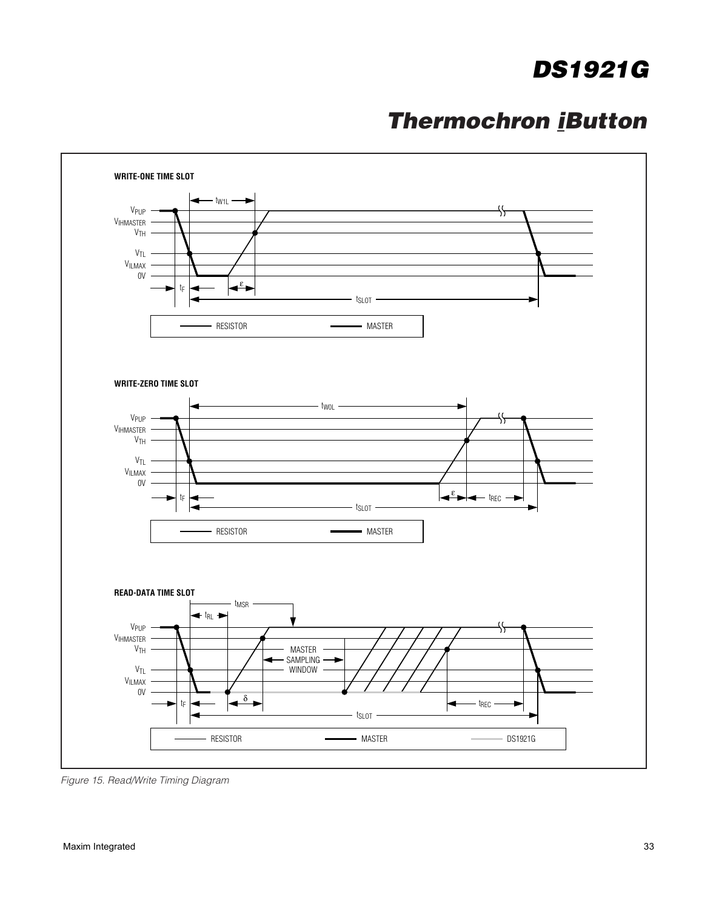### **Thermochron iButton**



Figure 15. Read/Write Timing Diagram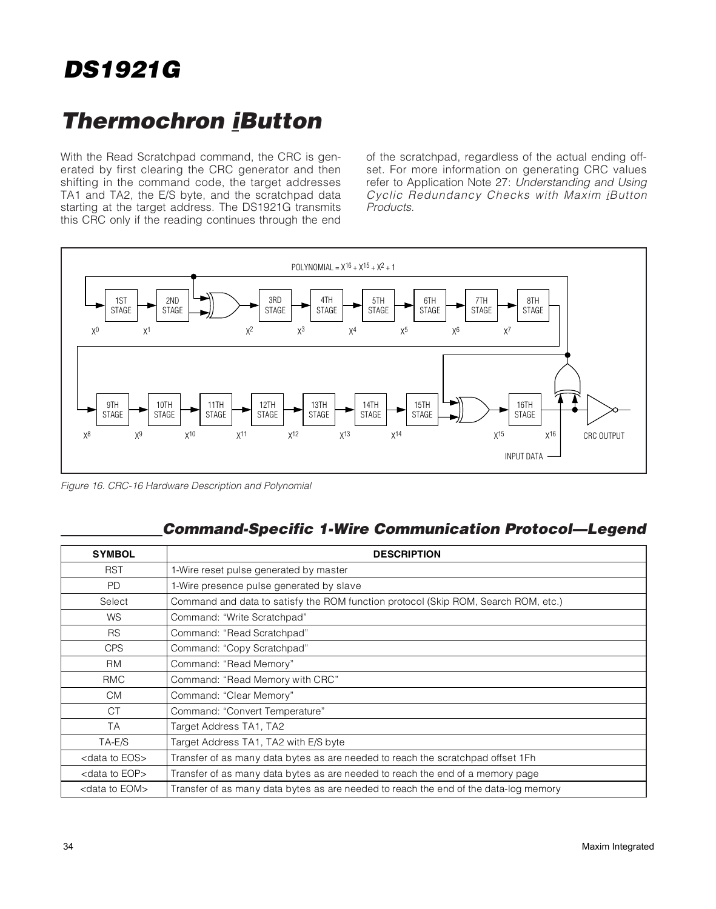### **Thermochron iButton**

With the Read Scratchpad command, the CRC is generated by first clearing the CRC generator and then shifting in the command code, the target addresses TA1 and TA2, the E/S byte, and the scratchpad data starting at the target address. The DS1921G transmits this CRC only if the reading continues through the end of the scratchpad, regardless of the actual ending offset. For more information on generating CRC values refer to Application Note 27: Understanding and Using Cyclic Redundancy Checks with Maxim iButton Products.



Figure 16. CRC-16 Hardware Description and Polynomial

#### **Command-Specific 1-Wire Communication Protocol—Legend**

| <b>SYMBOL</b>              | <b>DESCRIPTION</b>                                                                   |
|----------------------------|--------------------------------------------------------------------------------------|
| <b>RST</b>                 | 1-Wire reset pulse generated by master                                               |
| <b>PD</b>                  | 1-Wire presence pulse generated by slave                                             |
| Select                     | Command and data to satisfy the ROM function protocol (Skip ROM, Search ROM, etc.)   |
| <b>WS</b>                  | Command: "Write Scratchpad"                                                          |
| <b>RS</b>                  | Command: "Read Scratchpad"                                                           |
| <b>CPS</b>                 | Command: "Copy Scratchpad"                                                           |
| <b>RM</b>                  | Command: "Read Memory"                                                               |
| <b>RMC</b>                 | Command: "Read Memory with CRC"                                                      |
| <b>CM</b>                  | Command: "Clear Memory"                                                              |
| <b>CT</b>                  | Command: "Convert Temperature"                                                       |
| <b>TA</b>                  | Target Address TA1, TA2                                                              |
| TA-E/S                     | Target Address TA1, TA2 with E/S byte                                                |
| <data eos="" to=""></data> | Transfer of as many data bytes as are needed to reach the scratchpad offset 1Fh      |
| <data eop="" to=""></data> | Transfer of as many data bytes as are needed to reach the end of a memory page       |
| <data eom="" to=""></data> | Transfer of as many data bytes as are needed to reach the end of the data-log memory |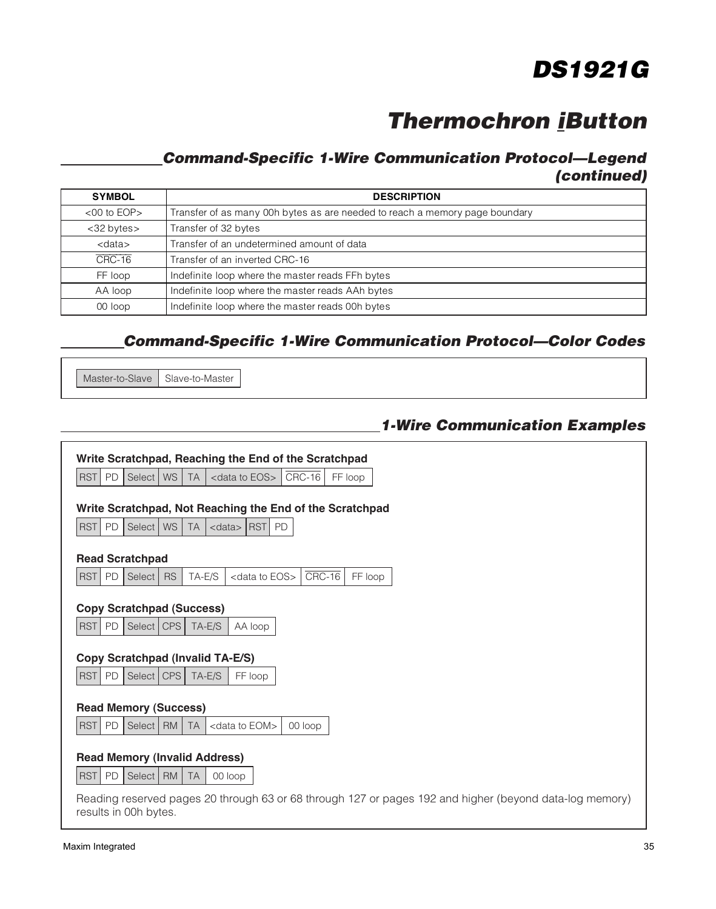### **Thermochron iButton**

### **Command-Specific 1-Wire Communication Protocol—Legend (continued)**

| <b>SYMBOL</b>     | <b>DESCRIPTION</b>                                                          |
|-------------------|-----------------------------------------------------------------------------|
| $<$ 00 to EOP $>$ | Transfer of as many 00h bytes as are needed to reach a memory page boundary |
| <32 bytes>        | Transfer of 32 bytes                                                        |
| $<$ data $>$      | Transfer of an undetermined amount of data                                  |
| $CRC-16$          | Transfer of an inverted CRC-16                                              |
| FF loop           | Indefinite loop where the master reads FFh bytes                            |
| AA loop           | Indefinite loop where the master reads AAh bytes                            |
| 00 loop           | Indefinite loop where the master reads 00h bytes                            |

### **Command-Specific 1-Wire Communication Protocol—Color Codes**

Master-to-Slave | Slave-to-Master

**1-Wire Communication Examples**

|                         | Write Scratchpad, Reaching the End of the Scratchpad     |           |                            |           |         |  |  |                                                                                                         |  |
|-------------------------|----------------------------------------------------------|-----------|----------------------------|-----------|---------|--|--|---------------------------------------------------------------------------------------------------------|--|
| <b>RST</b><br>PD        | <b>WS</b><br>Select                                      | <b>TA</b> | <data eos="" to=""></data> | $CRC-16$  | FF loop |  |  |                                                                                                         |  |
|                         |                                                          |           |                            |           |         |  |  |                                                                                                         |  |
|                         | Write Scratchpad, Not Reaching the End of the Scratchpad |           |                            |           |         |  |  |                                                                                                         |  |
| <b>RST</b><br>PD        | Select   WS                                              | <b>TA</b> | $\langle$ data> RST        | <b>PD</b> |         |  |  |                                                                                                         |  |
| <b>Read Scratchpad</b>  |                                                          |           |                            |           |         |  |  |                                                                                                         |  |
| <b>RST</b><br>PD        | Select<br><b>RS</b>                                      | TA-E/S    | <data eos="" to=""></data> | CRC-16    | FF loop |  |  |                                                                                                         |  |
|                         |                                                          |           |                            |           |         |  |  |                                                                                                         |  |
|                         | <b>Copy Scratchpad (Success)</b>                         |           |                            |           |         |  |  |                                                                                                         |  |
| RST PD                  | Select   CPS                                             | TA-E/S    | AA loop                    |           |         |  |  |                                                                                                         |  |
|                         |                                                          |           |                            |           |         |  |  |                                                                                                         |  |
|                         | <b>Copy Scratchpad (Invalid TA-E/S)</b>                  |           |                            |           |         |  |  |                                                                                                         |  |
| <b>RST</b><br>PD        | Select   CPS                                             | TA-E/S    | FF loop                    |           |         |  |  |                                                                                                         |  |
|                         |                                                          |           |                            |           |         |  |  |                                                                                                         |  |
|                         | <b>Read Memory (Success)</b>                             |           |                            |           |         |  |  |                                                                                                         |  |
| <b>RST</b><br><b>PD</b> | Select   RM                                              | <b>TA</b> | <data eom="" to=""></data> | 00 loop   |         |  |  |                                                                                                         |  |
|                         |                                                          |           |                            |           |         |  |  |                                                                                                         |  |
|                         | <b>Read Memory (Invalid Address)</b>                     |           |                            |           |         |  |  |                                                                                                         |  |
| <b>RST</b><br>PD        | Select   RM                                              | <b>TA</b> | 00 loop                    |           |         |  |  |                                                                                                         |  |
|                         |                                                          |           |                            |           |         |  |  | Reading reserved pages 20 through 63 or 68 through 127 or pages 192 and higher (beyond data-log memory) |  |
| results in 00h bytes.   |                                                          |           |                            |           |         |  |  |                                                                                                         |  |
|                         |                                                          |           |                            |           |         |  |  |                                                                                                         |  |

٦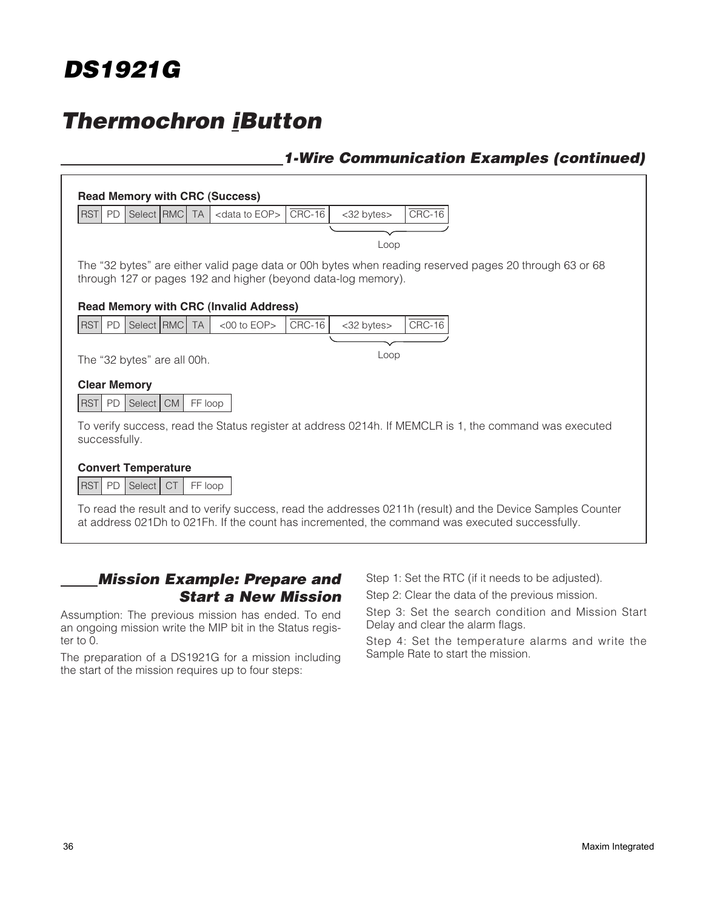

### **Thermochron iButton**

#### **1-Wire Communication Examples (continued)**

| PD<br><b>RST</b>                                          | Select RMC                  | <b>TA</b> | <data eop="" to=""></data>                                    | $CRC-16$ | <32 bytes> | $CRC-16$                                                                                                   |
|-----------------------------------------------------------|-----------------------------|-----------|---------------------------------------------------------------|----------|------------|------------------------------------------------------------------------------------------------------------|
|                                                           |                             |           |                                                               |          |            |                                                                                                            |
|                                                           |                             |           |                                                               |          | Loop       |                                                                                                            |
|                                                           |                             |           |                                                               |          |            | The "32 bytes" are either valid page data or 00h bytes when reading reserved pages 20 through 63 or 68     |
|                                                           |                             |           | through 127 or pages 192 and higher (beyond data-log memory). |          |            |                                                                                                            |
|                                                           |                             |           | <b>Read Memory with CRC (Invalid Address)</b>                 |          |            |                                                                                                            |
| <b>RST</b><br><b>PD</b>                                   | Select RMC                  | <b>TA</b> | $<$ 00 to EOP $>$                                             | $CRC-16$ | <32 bytes> | $CRC-16$                                                                                                   |
|                                                           |                             |           |                                                               |          |            |                                                                                                            |
|                                                           | The "32 bytes" are all 00h. |           |                                                               |          | Loop       |                                                                                                            |
| <b>Clear Memory</b>                                       |                             |           |                                                               |          |            |                                                                                                            |
| <b>RST</b><br><b>PD</b>                                   | <b>CM</b><br>Select         | FF loop   |                                                               |          |            |                                                                                                            |
|                                                           |                             |           |                                                               |          |            | To verify success, read the Status register at address 0214h. If MEMCLR is 1, the command was executed     |
| successfully.                                             |                             |           |                                                               |          |            |                                                                                                            |
|                                                           | <b>Convert Temperature</b>  |           |                                                               |          |            |                                                                                                            |
| <b>PD</b><br><b>RST</b><br>Select<br><b>CT</b><br>FF loop |                             |           |                                                               |          |            |                                                                                                            |
|                                                           |                             |           |                                                               |          |            | To read the result and to verify success, read the addresses 0211h (result) and the Device Samples Counter |

#### **Mission Example: Prepare and Start a New Mission**

Assumption: The previous mission has ended. To end an ongoing mission write the MIP bit in the Status register to  $\overline{0}$ .

The preparation of a DS1921G for a mission including the start of the mission requires up to four steps:

Step 1: Set the RTC (if it needs to be adjusted).

Step 2: Clear the data of the previous mission.

Step 3: Set the search condition and Mission Start Delay and clear the alarm flags.

Step 4: Set the temperature alarms and write the Sample Rate to start the mission.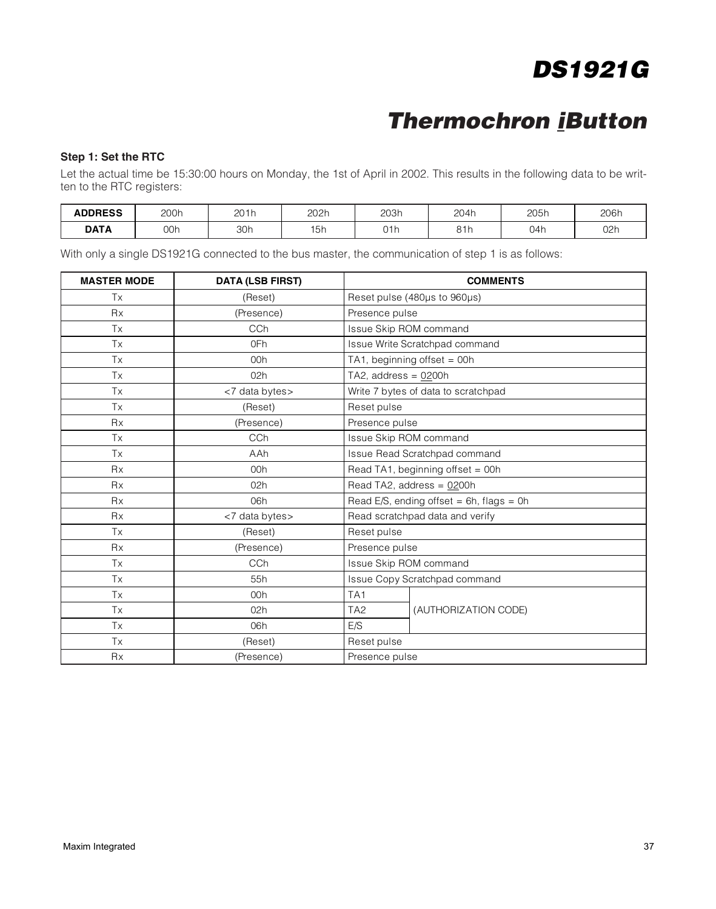### **Thermochron iButton**

#### **Step 1: Set the RTC**

Let the actual time be 15:30:00 hours on Monday, the 1st of April in 2002. This results in the following data to be written to the RTC registers:

| <b>ADDRESS</b> | 200h<br>---- | 201h | 202h | 203h<br>___ | 204h              | 205h | 206h |
|----------------|--------------|------|------|-------------|-------------------|------|------|
| DATA           | 00h          | 30h  | l5h  | 01h         | 01h<br><b>UII</b> | 04h  | 02r  |

With only a single DS1921G connected to the bus master, the communication of step 1 is as follows:

| <b>MASTER MODE</b> | <b>DATA (LSB FIRST)</b> | <b>COMMENTS</b>                             |  |  |
|--------------------|-------------------------|---------------------------------------------|--|--|
| Tx                 | (Reset)                 | Reset pulse (480µs to 960µs)                |  |  |
| <b>Rx</b>          | (Presence)              | Presence pulse                              |  |  |
| Tx                 | CCh                     | Issue Skip ROM command                      |  |  |
| Tx                 | 0Fh                     | Issue Write Scratchpad command              |  |  |
| <b>Tx</b>          | 00h                     | TA1, beginning offset = 00h                 |  |  |
| <b>Tx</b>          | 02h                     | TA2, address = $0200h$                      |  |  |
| Tx                 | <7 data bytes>          | Write 7 bytes of data to scratchpad         |  |  |
| Tx                 | (Reset)                 | Reset pulse                                 |  |  |
| <b>Rx</b>          | (Presence)              | Presence pulse                              |  |  |
| <b>Tx</b>          | CC <sub>h</sub>         | Issue Skip ROM command                      |  |  |
| Tx                 | AAh                     | Issue Read Scratchpad command               |  |  |
| <b>Rx</b>          | 00h                     | Read TA1, beginning offset = 00h            |  |  |
| <b>Rx</b>          | 02h                     | Read TA2, address = 0200h                   |  |  |
| <b>Rx</b>          | 06h                     | Read E/S, ending offset = $6h$ , flags = 0h |  |  |
| <b>Rx</b>          | <7 data bytes>          | Read scratchpad data and verify             |  |  |
| Tx                 | (Reset)                 | Reset pulse                                 |  |  |
| <b>Rx</b>          | (Presence)              | Presence pulse                              |  |  |
| Tx                 | CCh                     | Issue Skip ROM command                      |  |  |
| Tx                 | 55h                     | Issue Copy Scratchpad command               |  |  |
| Tx                 | 00h                     | TA <sub>1</sub>                             |  |  |
| Tx                 | 02h                     | (AUTHORIZATION CODE)<br>TA <sub>2</sub>     |  |  |
| Tx                 | 06h                     | E/S                                         |  |  |
| Tx                 | (Reset)                 | Reset pulse                                 |  |  |
| <b>Rx</b>          | (Presence)              | Presence pulse                              |  |  |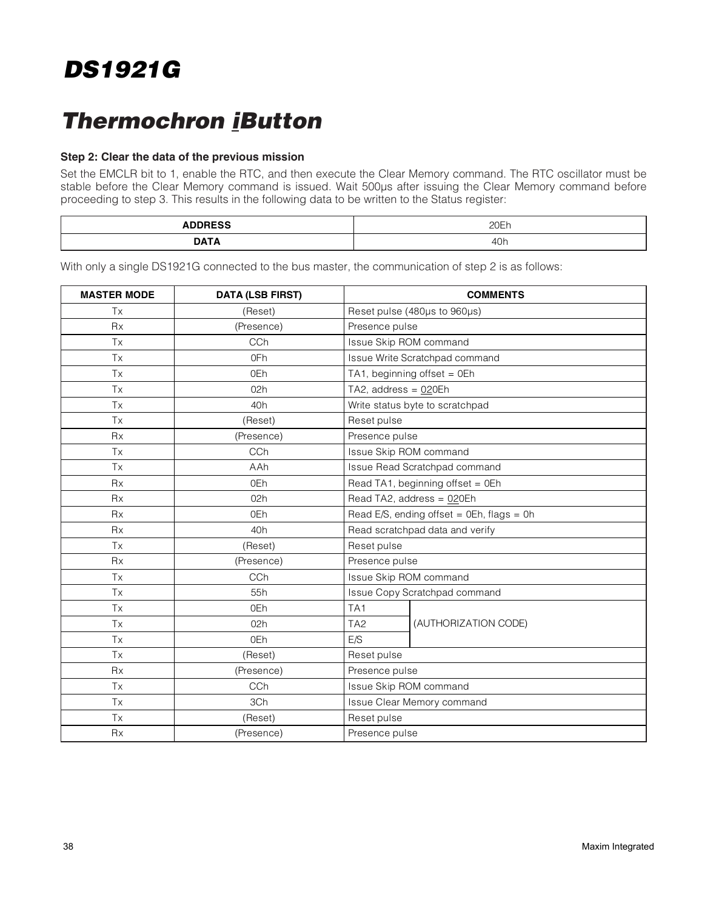### **Thermochron iButton**

#### **Step 2: Clear the data of the previous mission**

Set the EMCLR bit to 1, enable the RTC, and then execute the Clear Memory command. The RTC oscillator must be stable before the Clear Memory command is issued. Wait 500µs after issuing the Clear Memory command before proceeding to step 3. This results in the following data to be written to the Status register:

| .<br>________ | ∩∩⊏<br>· י∟∪∟       |
|---------------|---------------------|
| ---           | $\Lambda$ N<br>ווטד |

With only a single DS1921G connected to the bus master, the communication of step 2 is as follows:

| <b>MASTER MODE</b> | <b>DATA (LSB FIRST)</b> | <b>COMMENTS</b>                           |  |  |
|--------------------|-------------------------|-------------------------------------------|--|--|
| <b>Tx</b>          | (Reset)                 | Reset pulse (480µs to 960µs)              |  |  |
| <b>Rx</b>          | (Presence)              | Presence pulse                            |  |  |
| Tx                 | CCh                     | Issue Skip ROM command                    |  |  |
| Tx                 | 0Fh                     | Issue Write Scratchpad command            |  |  |
| Tx                 | 0Eh                     | TA1, beginning offset = $0Eh$             |  |  |
| <b>Tx</b>          | 02h                     | TA2, address = 020Eh                      |  |  |
| Tx                 | 40 <sub>h</sub>         | Write status byte to scratchpad           |  |  |
| <b>Tx</b>          | (Reset)                 | Reset pulse                               |  |  |
| <b>Rx</b>          | (Presence)              | Presence pulse                            |  |  |
| <b>Tx</b>          | CCh                     | Issue Skip ROM command                    |  |  |
| Tx                 | AAh                     | Issue Read Scratchpad command             |  |  |
| <b>Rx</b>          | 0Eh                     | Read TA1, beginning offset = 0Eh          |  |  |
| <b>Rx</b>          | 02h                     | Read TA2, address = 020Eh                 |  |  |
| <b>Rx</b>          | 0Eh                     | Read E/S, ending offset = 0Eh, flags = 0h |  |  |
| Rx                 | 40h                     | Read scratchpad data and verify           |  |  |
| <b>Tx</b>          | (Reset)                 | Reset pulse                               |  |  |
| <b>Rx</b>          | (Presence)              | Presence pulse                            |  |  |
| Tx                 | CCh                     | Issue Skip ROM command                    |  |  |
| Tx                 | 55h                     | Issue Copy Scratchpad command             |  |  |
| <b>Tx</b>          | 0Eh                     | TA <sub>1</sub>                           |  |  |
| Tx                 | 02h                     | TA <sub>2</sub><br>(AUTHORIZATION CODE)   |  |  |
| <b>Tx</b>          | 0Eh                     | E/S                                       |  |  |
| Tx                 | (Reset)                 | Reset pulse                               |  |  |
| <b>Rx</b>          | (Presence)              | Presence pulse                            |  |  |
| <b>Tx</b>          | CCh                     | Issue Skip ROM command                    |  |  |
| <b>Tx</b>          | 3Ch                     | Issue Clear Memory command                |  |  |
| Tx                 | (Reset)                 | Reset pulse                               |  |  |
| <b>Rx</b>          | (Presence)              | Presence pulse                            |  |  |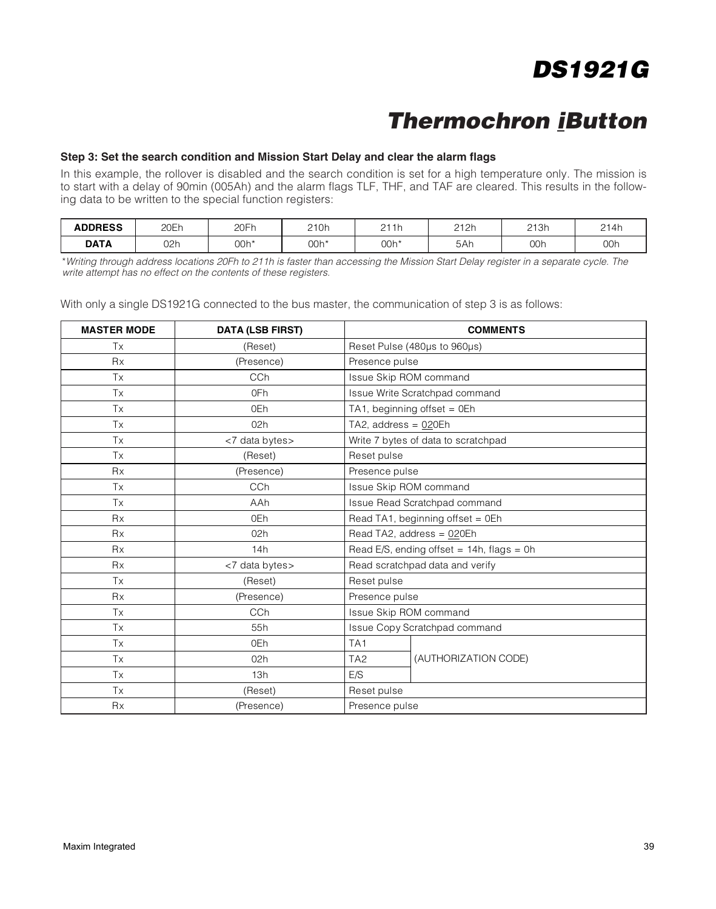### **Thermochron iButton**

#### **Step 3: Set the search condition and Mission Start Delay and clear the alarm flags**

In this example, the rollover is disabled and the search condition is set for a high temperature only. The mission is to start with a delay of 90min (005Ah) and the alarm flags TLF, THF, and TAF are cleared. This results in the following data to be written to the special function registers:

| <b>ADDRESS</b> | $\cap \sqsubset$<br><b>ZUEII</b> | 20Fr | 210h | 211h<br><u>.</u> | 212h | 213h | 214h |
|----------------|----------------------------------|------|------|------------------|------|------|------|
| <b>DATA</b>    | 02ŀ                              | 00h* | 00h* | 00h*             | 5Ah  | 00h  | 00h  |

\*Writing through address locations 20Fh to 211h is faster than accessing the Mission Start Delay register in a separate cycle. The write attempt has no effect on the contents of these registers.

With only a single DS1921G connected to the bus master, the communication of step 3 is as follows:

| <b>MASTER MODE</b> | <b>DATA (LSB FIRST)</b> |                                              | <b>COMMENTS</b>                     |  |
|--------------------|-------------------------|----------------------------------------------|-------------------------------------|--|
| Tx                 | (Reset)                 |                                              | Reset Pulse (480us to 960us)        |  |
| <b>Rx</b>          | (Presence)              | Presence pulse                               |                                     |  |
| Tx                 | CC <sub>h</sub>         | Issue Skip ROM command                       |                                     |  |
| Tx                 | 0Fh                     |                                              | Issue Write Scratchpad command      |  |
| Tx                 | 0Eh                     |                                              | TA1, beginning offset = 0Eh         |  |
| Tx                 | 02h                     | TA2, address = 020Eh                         |                                     |  |
| Tx                 | <7 data bytes>          |                                              | Write 7 bytes of data to scratchpad |  |
| Tx                 | (Reset)                 | Reset pulse                                  |                                     |  |
| <b>Rx</b>          | (Presence)              | Presence pulse                               |                                     |  |
| <b>Tx</b>          | CC <sub>h</sub>         | Issue Skip ROM command                       |                                     |  |
| Tx                 | AAh                     | Issue Read Scratchpad command                |                                     |  |
| <b>Rx</b>          | 0Eh                     | Read TA1, beginning offset = $0Eh$           |                                     |  |
| <b>Rx</b>          | 02h                     | Read TA2, address = 020Eh                    |                                     |  |
| <b>Rx</b>          | 14h                     | Read E/S, ending offset = $14h$ , flags = 0h |                                     |  |
| <b>Rx</b>          | <7 data bytes>          | Read scratchpad data and verify              |                                     |  |
| Tx                 | (Reset)                 | Reset pulse                                  |                                     |  |
| <b>Rx</b>          | (Presence)              | Presence pulse                               |                                     |  |
| <b>Tx</b>          | CC <sub>h</sub>         | Issue Skip ROM command                       |                                     |  |
| <b>Tx</b>          | 55h                     |                                              | Issue Copy Scratchpad command       |  |
| Tx                 | 0Eh                     | TA <sub>1</sub>                              |                                     |  |
| <b>Tx</b>          | 02h                     | TA <sub>2</sub>                              | (AUTHORIZATION CODE)                |  |
| Tx                 | 13h                     | E/S                                          |                                     |  |
| <b>Tx</b>          | (Reset)                 | Reset pulse                                  |                                     |  |
| <b>Rx</b>          | (Presence)              | Presence pulse                               |                                     |  |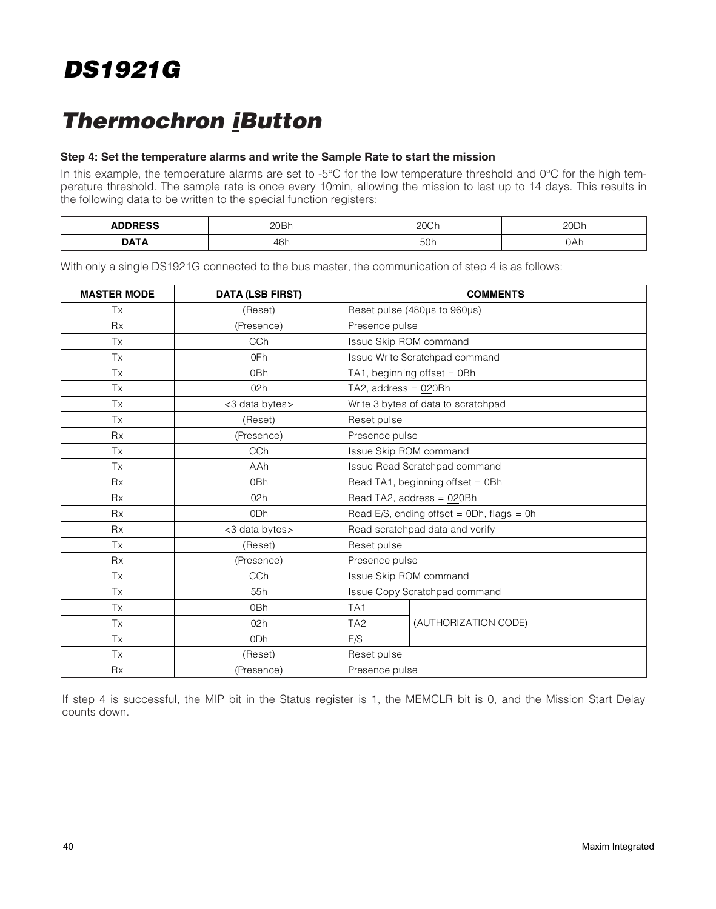### **Thermochron iButton**

#### **Step 4: Set the temperature alarms and write the Sample Rate to start the mission**

In this example, the temperature alarms are set to -5°C for the low temperature threshold and 0°C for the high temperature threshold. The sample rate is once every 10min, allowing the mission to last up to 14 days. This results in the following data to be written to the special function registers:

| $\cdots$<br>___ | 20Bh | ה ה<br>ZUU '                    | חממ<br>н |
|-----------------|------|---------------------------------|----------|
| <b>DA</b>       | 46h  | 50 <sub>1</sub><br>-50T<br>$ -$ | UAII     |

With only a single DS1921G connected to the bus master, the communication of step 4 is as follows:

| <b>MASTER MODE</b> | <b>DATA (LSB FIRST)</b> | <b>COMMENTS</b>                              |  |  |
|--------------------|-------------------------|----------------------------------------------|--|--|
| Tx                 | (Reset)                 | Reset pulse (480µs to 960µs)                 |  |  |
| <b>Rx</b>          | (Presence)              | Presence pulse                               |  |  |
| Tx                 | CCh                     | Issue Skip ROM command                       |  |  |
| Tx                 | 0Fh                     | Issue Write Scratchpad command               |  |  |
| Tx                 | 0Bh                     | TA1, beginning offset = 0Bh                  |  |  |
| <b>Tx</b>          | 02h                     | TA2, address = $020Bh$                       |  |  |
| Tx                 | <3 data bytes>          | Write 3 bytes of data to scratchpad          |  |  |
| Tx                 | (Reset)                 | Reset pulse                                  |  |  |
| Rx                 | (Presence)              | Presence pulse                               |  |  |
| <b>Tx</b>          | CCh                     | Issue Skip ROM command                       |  |  |
| Tx                 | AAh                     | Issue Read Scratchpad command                |  |  |
| <b>Rx</b>          | 0 <sub>Bh</sub>         | Read TA1, beginning offset = 0Bh             |  |  |
| <b>Rx</b>          | 02h                     | Read TA2, address = 020Bh                    |  |  |
| <b>Rx</b>          | 0 <sub>Dh</sub>         | Read E/S, ending offset = $0Dh$ , flags = 0h |  |  |
| <b>Rx</b>          | <3 data bytes>          | Read scratchpad data and verify              |  |  |
| Tx                 | (Reset)                 | Reset pulse                                  |  |  |
| <b>Rx</b>          | (Presence)              | Presence pulse                               |  |  |
| Tx                 | <b>CCh</b>              | Issue Skip ROM command                       |  |  |
| Tx                 | 55h                     | Issue Copy Scratchpad command                |  |  |
| Tx                 | 0Bh                     | TA <sub>1</sub>                              |  |  |
| Tx                 | 02h                     | (AUTHORIZATION CODE)<br>TA <sub>2</sub>      |  |  |
| Tx                 | 0Dh                     | E/S                                          |  |  |
| Tx                 | (Reset)                 | Reset pulse                                  |  |  |
| <b>Rx</b>          | (Presence)              | Presence pulse                               |  |  |

If step 4 is successful, the MIP bit in the Status register is 1, the MEMCLR bit is 0, and the Mission Start Delay counts down.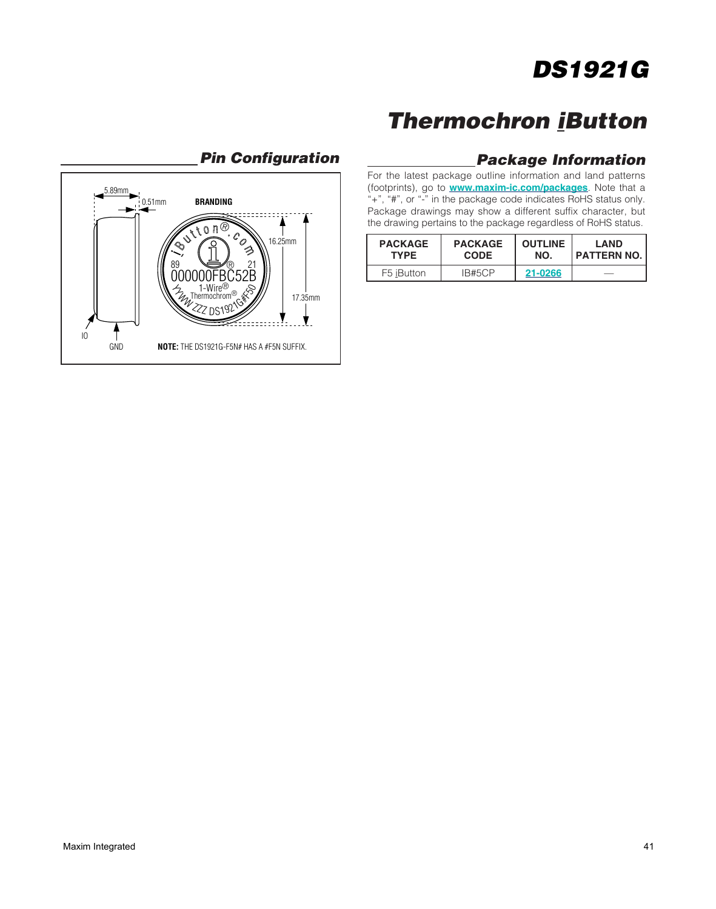### **Thermochron iButton**

#### **Pin Configuration Package Information**

For the latest package outline information and land patterns (footprints), go to **[www.maxim-ic.com/packages](https://www.maxim-ic.com/packages)**. Note that a "+", "#", or "-" in the package code indicates RoHS status only. Package drawings may show a different suffix character, but the drawing pertains to the package regardless of RoHS status.

| <b>PACKAGE</b> | <b>PACKAGE</b> | <b>OUTLINE</b> | <b>LAND</b>        |
|----------------|----------------|----------------|--------------------|
| <b>TYPE</b>    | <b>CODE</b>    | NO.            | <b>PATTERN NO.</b> |
| F5 iButton     | IB#5CP         | 21-0266        |                    |